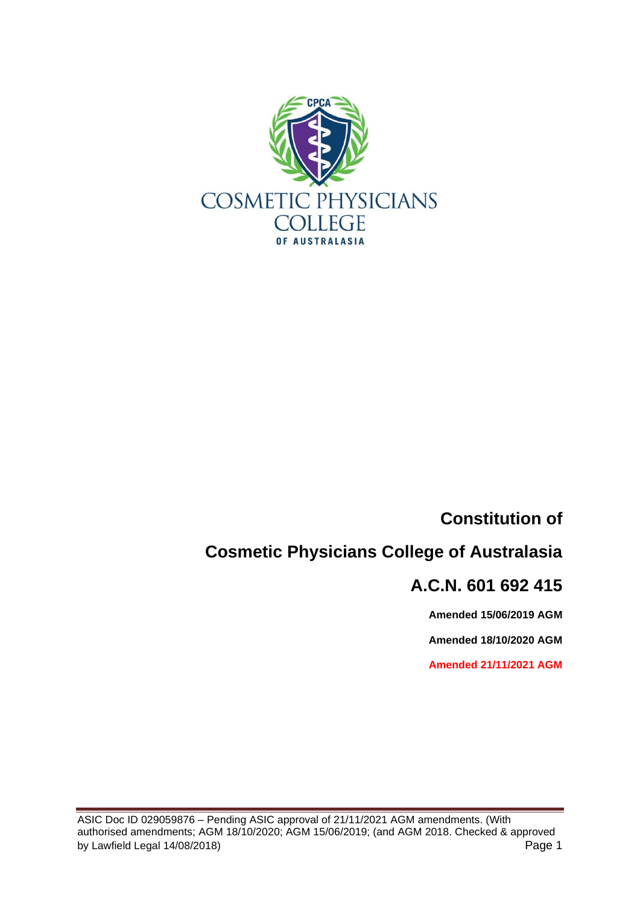

## **Constitution of**

# **Cosmetic Physicians College of Australasia**

## **A.C.N. 601 692 415**

**Amended 15/06/2019 AGM**

**Amended 18/10/2020 AGM**

**Amended 21/11/2021 AGM**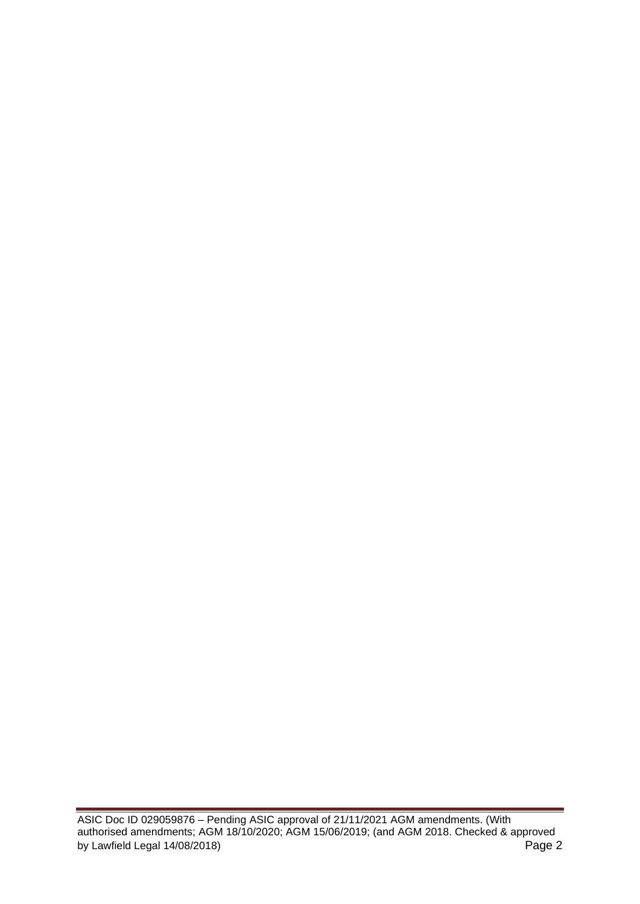ASIC Doc ID 029059876 – Pending ASIC approval of 21/11/2021 AGM amendments. (With authorised amendments; AGM 18/10/2020; AGM 15/06/2019; (and AGM 2018. Checked & approved by Lawfield Legal 14/08/2018) **Page 2**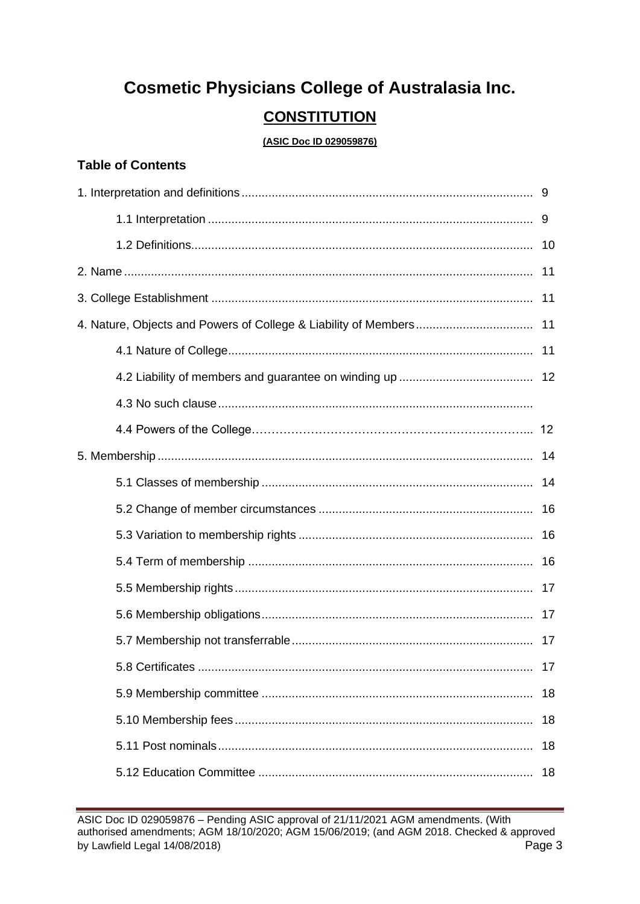# **Cosmetic Physicians College of Australasia Inc.**

## **CONSTITUTION**

## (ASIC Doc ID 029059876)

## **Table of Contents**

|  | 17 |
|--|----|
|  |    |
|  |    |
|  | 17 |
|  | 18 |
|  | 18 |
|  | 18 |
|  | 18 |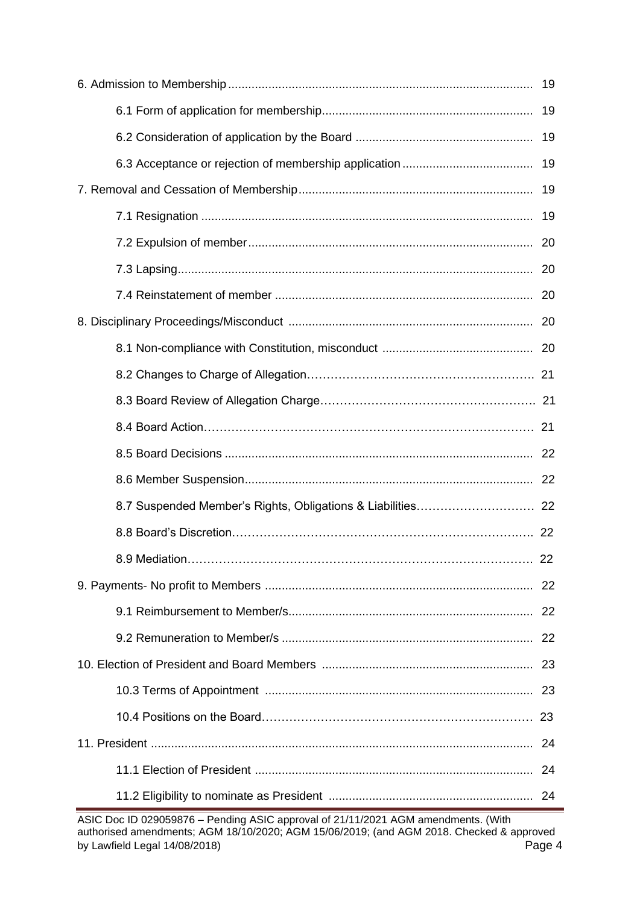|  | 24 |
|--|----|
|  | 24 |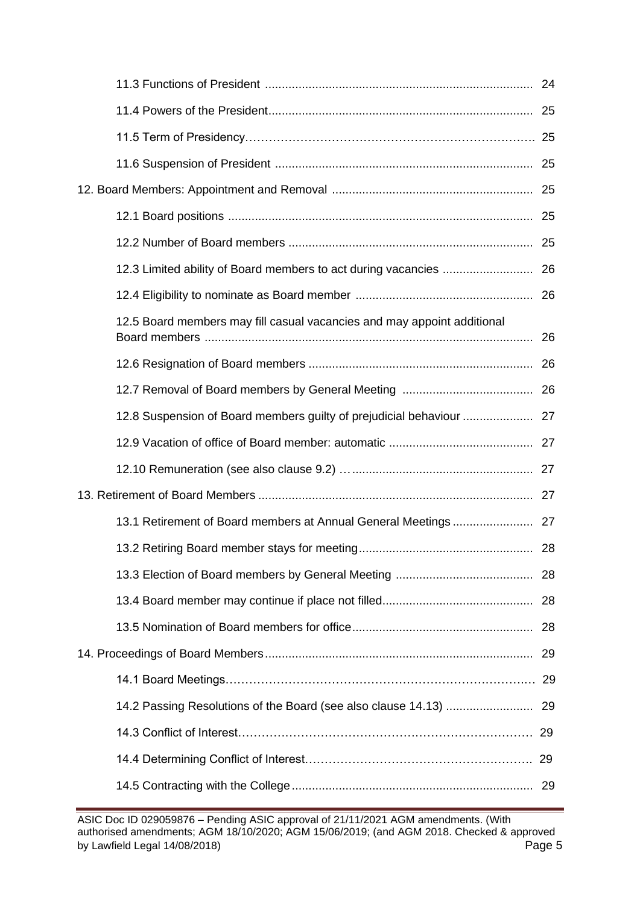| 12.5 Board members may fill casual vacancies and may appoint additional |     |
|-------------------------------------------------------------------------|-----|
|                                                                         |     |
|                                                                         |     |
| 12.8 Suspension of Board members guilty of prejudicial behaviour  27    |     |
|                                                                         |     |
|                                                                         |     |
|                                                                         |     |
|                                                                         |     |
|                                                                         |     |
|                                                                         | 28  |
|                                                                         | 28  |
|                                                                         |     |
|                                                                         | -29 |
|                                                                         |     |
|                                                                         |     |
|                                                                         |     |
|                                                                         |     |
|                                                                         |     |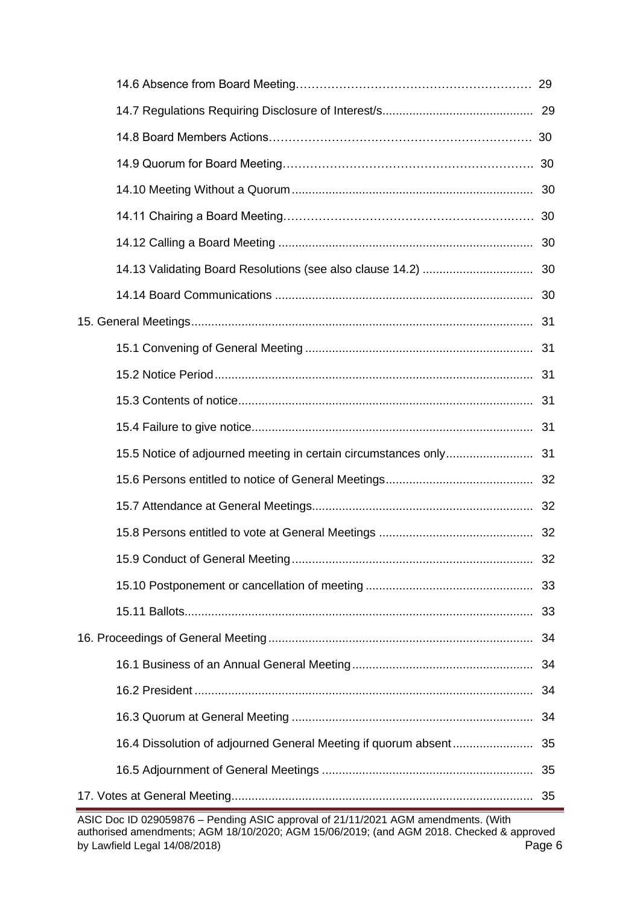| 34 |
|----|
|    |
|    |
|    |
|    |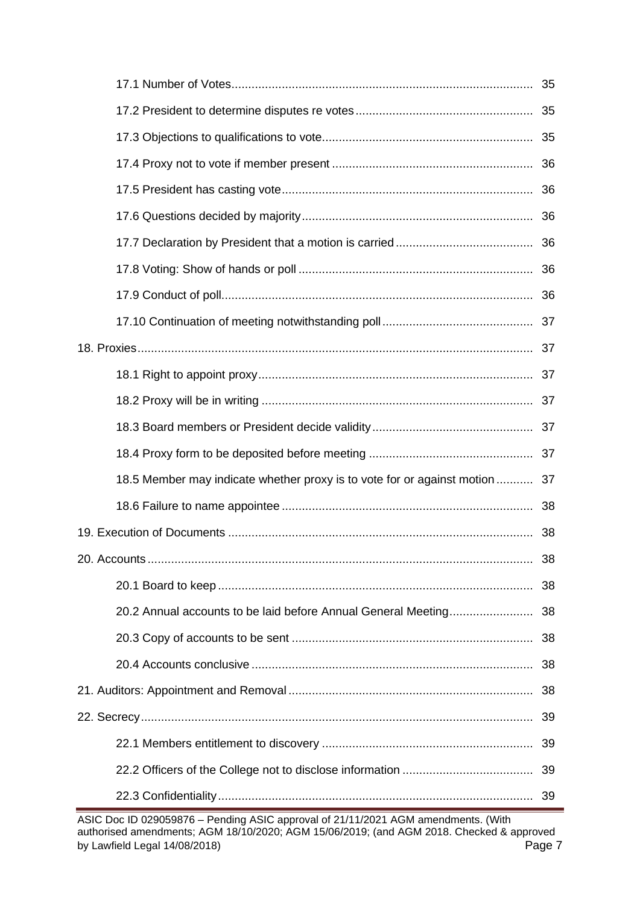| 18.5 Member may indicate whether proxy is to vote for or against motion  37 |  |
|-----------------------------------------------------------------------------|--|
|                                                                             |  |
|                                                                             |  |
|                                                                             |  |
|                                                                             |  |
|                                                                             |  |
|                                                                             |  |
|                                                                             |  |
|                                                                             |  |
|                                                                             |  |
|                                                                             |  |
|                                                                             |  |
|                                                                             |  |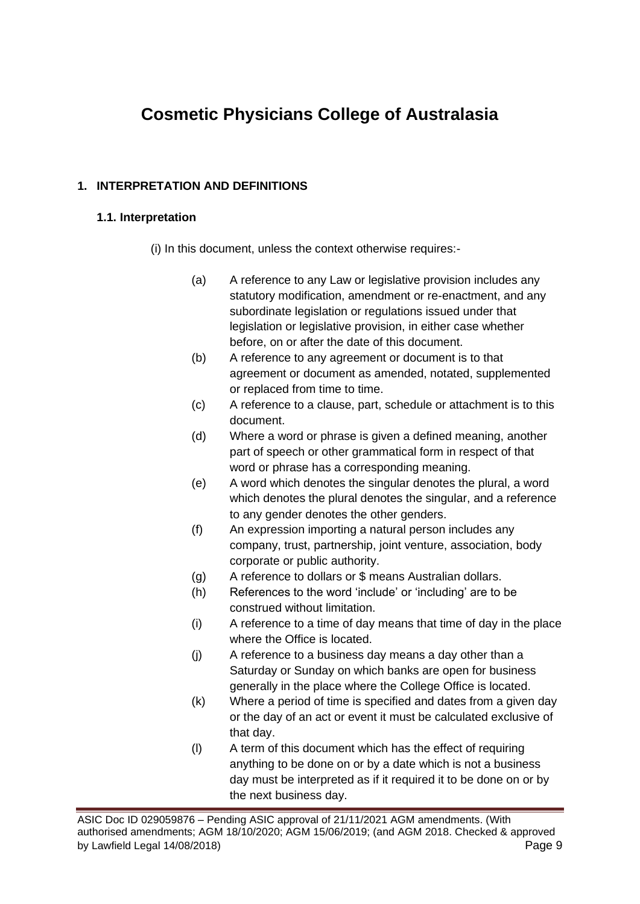# **Cosmetic Physicians College of Australasia**

## **1. INTERPRETATION AND DEFINITIONS**

## **1.1. Interpretation**

- (i) In this document, unless the context otherwise requires:-
	- (a) A reference to any Law or legislative provision includes any statutory modification, amendment or re-enactment, and any subordinate legislation or regulations issued under that legislation or legislative provision, in either case whether before, on or after the date of this document.
	- (b) A reference to any agreement or document is to that agreement or document as amended, notated, supplemented or replaced from time to time.
	- (c) A reference to a clause, part, schedule or attachment is to this document.
	- (d) Where a word or phrase is given a defined meaning, another part of speech or other grammatical form in respect of that word or phrase has a corresponding meaning.
	- (e) A word which denotes the singular denotes the plural, a word which denotes the plural denotes the singular, and a reference to any gender denotes the other genders.
	- (f) An expression importing a natural person includes any company, trust, partnership, joint venture, association, body corporate or public authority.
	- (g) A reference to dollars or \$ means Australian dollars.
	- (h) References to the word 'include' or 'including' are to be construed without limitation.
	- (i) A reference to a time of day means that time of day in the place where the Office is located.
	- (j) A reference to a business day means a day other than a Saturday or Sunday on which banks are open for business generally in the place where the College Office is located.
	- (k) Where a period of time is specified and dates from a given day or the day of an act or event it must be calculated exclusive of that day.
	- (l) A term of this document which has the effect of requiring anything to be done on or by a date which is not a business day must be interpreted as if it required it to be done on or by the next business day.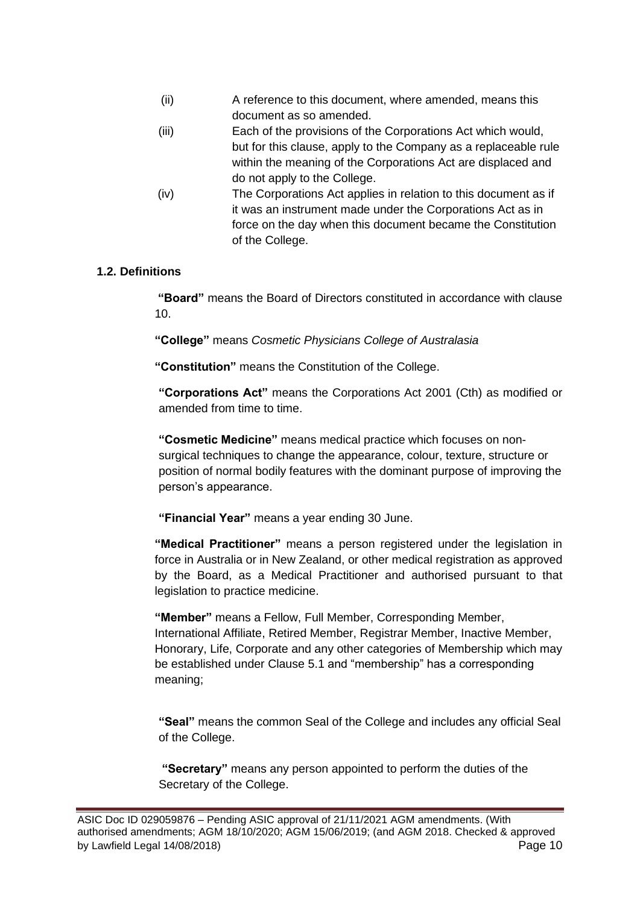- (ii) A reference to this document, where amended, means this document as so amended.
- (iii) Each of the provisions of the Corporations Act which would, but for this clause, apply to the Company as a replaceable rule within the meaning of the Corporations Act are displaced and do not apply to the College.
- (iv) The Corporations Act applies in relation to this document as if it was an instrument made under the Corporations Act as in force on the day when this document became the Constitution of the College.

## **1.2. Definitions**

**"Board"** means the Board of Directors constituted in accordance with clause 10.

**"College"** means *Cosmetic Physicians College of Australasia*

**"Constitution"** means the Constitution of the College.

**"Corporations Act"** means the Corporations Act 2001 (Cth) as modified or amended from time to time.

**"Cosmetic Medicine"** means medical practice which focuses on nonsurgical techniques to change the appearance, colour, texture, structure or position of normal bodily features with the dominant purpose of improving the person's appearance.

**"Financial Year"** means a year ending 30 June.

**"Medical Practitioner"** means a person registered under the legislation in force in Australia or in New Zealand, or other medical registration as approved by the Board, as a Medical Practitioner and authorised pursuant to that legislation to practice medicine.

**"Member"** means a Fellow, Full Member, Corresponding Member, International Affiliate, Retired Member, Registrar Member, Inactive Member, Honorary, Life, Corporate and any other categories of Membership which may be established under Clause 5.1 and "membership" has a corresponding meaning;

**"Seal"** means the common Seal of the College and includes any official Seal of the College.

**"Secretary"** means any person appointed to perform the duties of the Secretary of the College.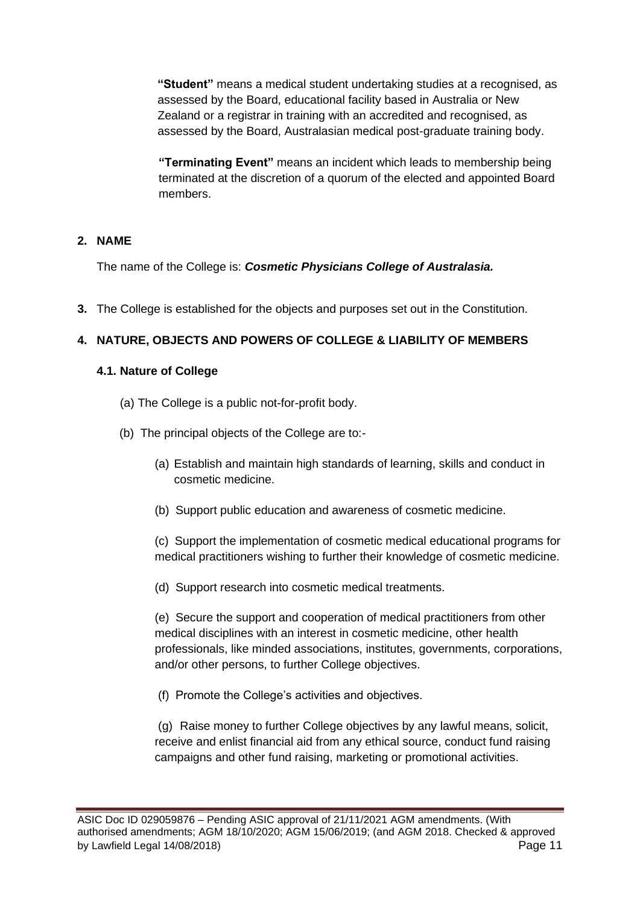**"Student"** means a medical student undertaking studies at a recognised, as assessed by the Board, educational facility based in Australia or New Zealand or a registrar in training with an accredited and recognised, as assessed by the Board, Australasian medical post-graduate training body.

**"Terminating Event"** means an incident which leads to membership being terminated at the discretion of a quorum of the elected and appointed Board members.

#### **2. NAME**

The name of the College is: *Cosmetic Physicians College of Australasia.* 

**3.** The College is established for the objects and purposes set out in the Constitution.

## **4. NATURE, OBJECTS AND POWERS OF COLLEGE & LIABILITY OF MEMBERS**

#### **4.1. Nature of College**

- (a) The College is a public not-for-profit body.
- (b) The principal objects of the College are to:-
	- (a) Establish and maintain high standards of learning, skills and conduct in cosmetic medicine.
	- (b) Support public education and awareness of cosmetic medicine.

(c) Support the implementation of cosmetic medical educational programs for medical practitioners wishing to further their knowledge of cosmetic medicine.

(d) Support research into cosmetic medical treatments.

(e) Secure the support and cooperation of medical practitioners from other medical disciplines with an interest in cosmetic medicine, other health professionals, like minded associations, institutes, governments, corporations, and/or other persons, to further College objectives.

(f) Promote the College's activities and objectives.

(g) Raise money to further College objectives by any lawful means, solicit, receive and enlist financial aid from any ethical source, conduct fund raising campaigns and other fund raising, marketing or promotional activities.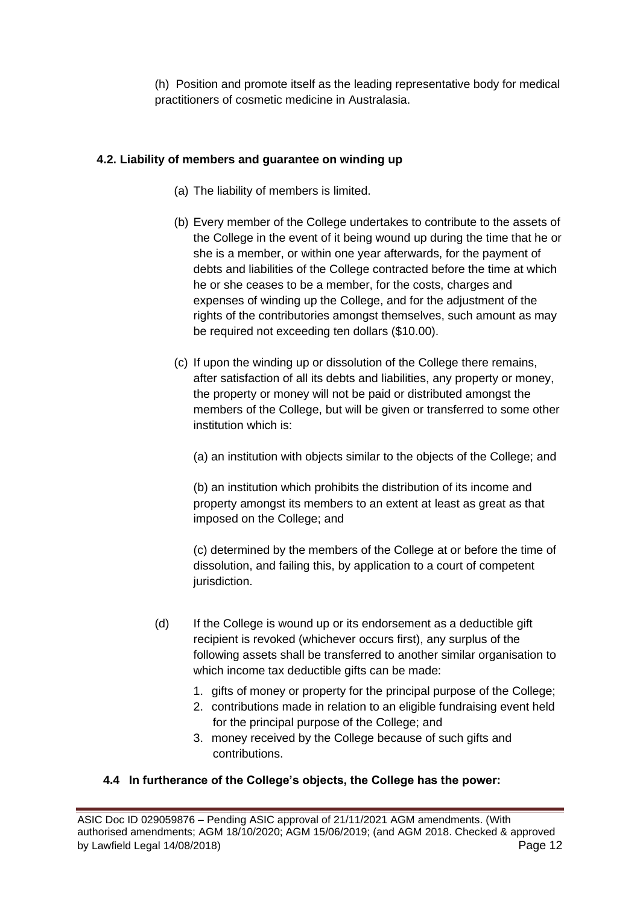(h) Position and promote itself as the leading representative body for medical practitioners of cosmetic medicine in Australasia.

## **4.2. Liability of members and guarantee on winding up**

- (a) The liability of members is limited.
- (b) Every member of the College undertakes to contribute to the assets of the College in the event of it being wound up during the time that he or she is a member, or within one year afterwards, for the payment of debts and liabilities of the College contracted before the time at which he or she ceases to be a member, for the costs, charges and expenses of winding up the College, and for the adjustment of the rights of the contributories amongst themselves, such amount as may be required not exceeding ten dollars (\$10.00).
- (c) If upon the winding up or dissolution of the College there remains, after satisfaction of all its debts and liabilities, any property or money, the property or money will not be paid or distributed amongst the members of the College, but will be given or transferred to some other institution which is:

(a) an institution with objects similar to the objects of the College; and

(b) an institution which prohibits the distribution of its income and property amongst its members to an extent at least as great as that imposed on the College; and

(c) determined by the members of the College at or before the time of dissolution, and failing this, by application to a court of competent jurisdiction.

- (d) If the College is wound up or its endorsement as a deductible gift recipient is revoked (whichever occurs first), any surplus of the following assets shall be transferred to another similar organisation to which income tax deductible gifts can be made:
	- 1. gifts of money or property for the principal purpose of the College;
	- 2. contributions made in relation to an eligible fundraising event held for the principal purpose of the College; and
	- 3. money received by the College because of such gifts and contributions.

## **4.4 In furtherance of the College's objects, the College has the power:**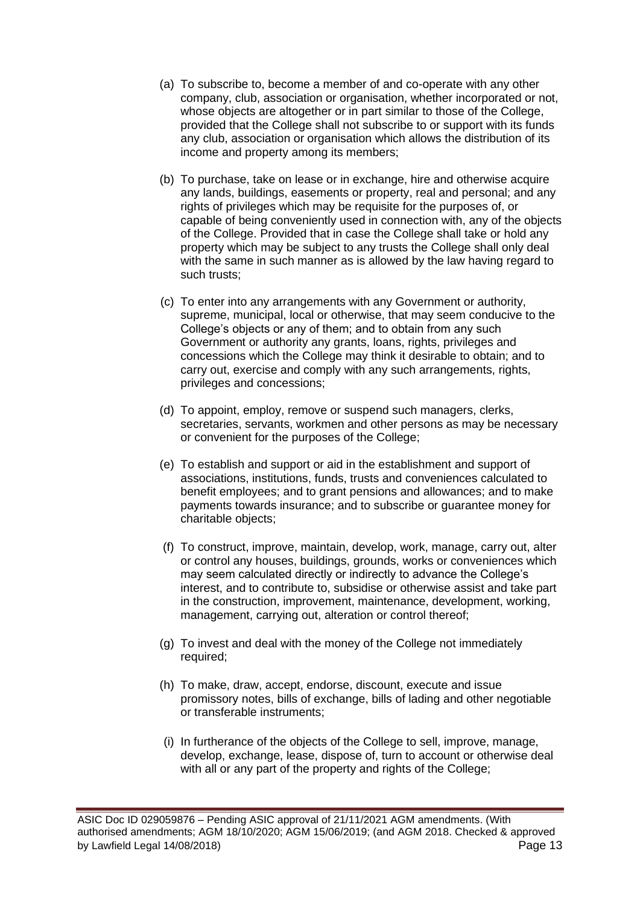- (a) To subscribe to, become a member of and co-operate with any other company, club, association or organisation, whether incorporated or not, whose objects are altogether or in part similar to those of the College, provided that the College shall not subscribe to or support with its funds any club, association or organisation which allows the distribution of its income and property among its members;
- (b) To purchase, take on lease or in exchange, hire and otherwise acquire any lands, buildings, easements or property, real and personal; and any rights of privileges which may be requisite for the purposes of, or capable of being conveniently used in connection with, any of the objects of the College. Provided that in case the College shall take or hold any property which may be subject to any trusts the College shall only deal with the same in such manner as is allowed by the law having regard to such trusts;
- (c) To enter into any arrangements with any Government or authority, supreme, municipal, local or otherwise, that may seem conducive to the College's objects or any of them; and to obtain from any such Government or authority any grants, loans, rights, privileges and concessions which the College may think it desirable to obtain; and to carry out, exercise and comply with any such arrangements, rights, privileges and concessions;
- (d) To appoint, employ, remove or suspend such managers, clerks, secretaries, servants, workmen and other persons as may be necessary or convenient for the purposes of the College;
- (e) To establish and support or aid in the establishment and support of associations, institutions, funds, trusts and conveniences calculated to benefit employees; and to grant pensions and allowances; and to make payments towards insurance; and to subscribe or guarantee money for charitable objects;
- (f) To construct, improve, maintain, develop, work, manage, carry out, alter or control any houses, buildings, grounds, works or conveniences which may seem calculated directly or indirectly to advance the College's interest, and to contribute to, subsidise or otherwise assist and take part in the construction, improvement, maintenance, development, working, management, carrying out, alteration or control thereof;
- (g) To invest and deal with the money of the College not immediately required;
- (h) To make, draw, accept, endorse, discount, execute and issue promissory notes, bills of exchange, bills of lading and other negotiable or transferable instruments;
- (i) In furtherance of the objects of the College to sell, improve, manage, develop, exchange, lease, dispose of, turn to account or otherwise deal with all or any part of the property and rights of the College;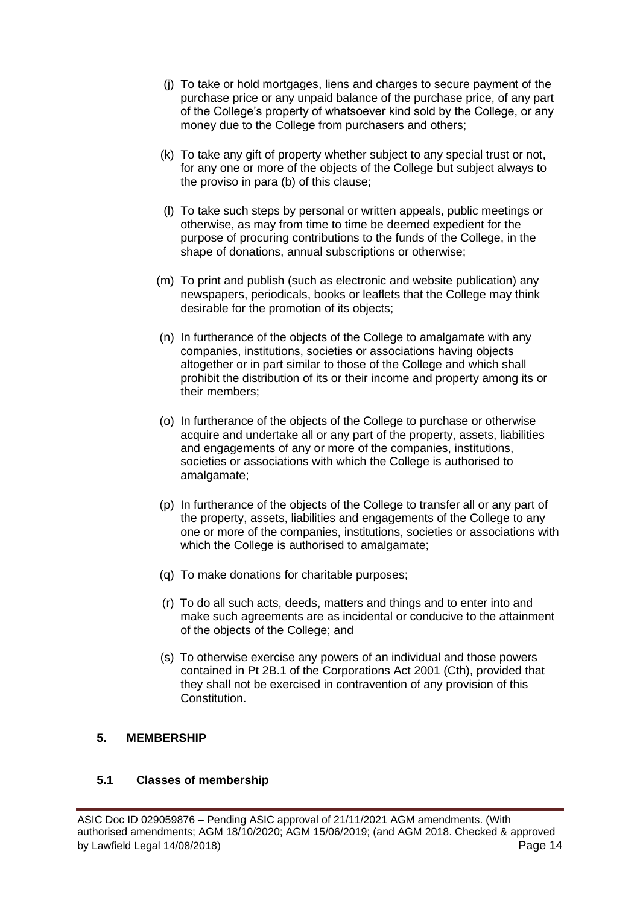- (j) To take or hold mortgages, liens and charges to secure payment of the purchase price or any unpaid balance of the purchase price, of any part of the College's property of whatsoever kind sold by the College, or any money due to the College from purchasers and others;
- (k) To take any gift of property whether subject to any special trust or not, for any one or more of the objects of the College but subject always to the proviso in para (b) of this clause;
- (l) To take such steps by personal or written appeals, public meetings or otherwise, as may from time to time be deemed expedient for the purpose of procuring contributions to the funds of the College, in the shape of donations, annual subscriptions or otherwise;
- (m) To print and publish (such as electronic and website publication) any newspapers, periodicals, books or leaflets that the College may think desirable for the promotion of its objects;
- (n) In furtherance of the objects of the College to amalgamate with any companies, institutions, societies or associations having objects altogether or in part similar to those of the College and which shall prohibit the distribution of its or their income and property among its or their members;
- (o) In furtherance of the objects of the College to purchase or otherwise acquire and undertake all or any part of the property, assets, liabilities and engagements of any or more of the companies, institutions, societies or associations with which the College is authorised to amalgamate;
- (p) In furtherance of the objects of the College to transfer all or any part of the property, assets, liabilities and engagements of the College to any one or more of the companies, institutions, societies or associations with which the College is authorised to amalgamate;
- (q) To make donations for charitable purposes;
- (r) To do all such acts, deeds, matters and things and to enter into and make such agreements are as incidental or conducive to the attainment of the objects of the College; and
- (s) To otherwise exercise any powers of an individual and those powers contained in Pt 2B.1 of the Corporations Act 2001 (Cth), provided that they shall not be exercised in contravention of any provision of this Constitution.

#### **5. MEMBERSHIP**

#### **5.1 Classes of membership**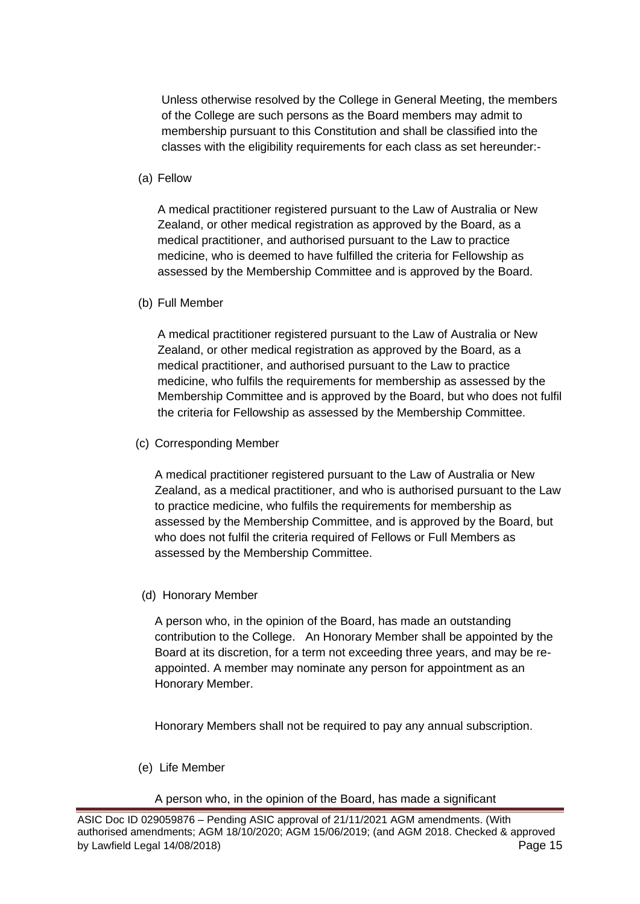Unless otherwise resolved by the College in General Meeting, the members of the College are such persons as the Board members may admit to membership pursuant to this Constitution and shall be classified into the classes with the eligibility requirements for each class as set hereunder:-

#### (a) Fellow

A medical practitioner registered pursuant to the Law of Australia or New Zealand, or other medical registration as approved by the Board, as a medical practitioner, and authorised pursuant to the Law to practice medicine, who is deemed to have fulfilled the criteria for Fellowship as assessed by the Membership Committee and is approved by the Board.

#### (b) Full Member

A medical practitioner registered pursuant to the Law of Australia or New Zealand, or other medical registration as approved by the Board, as a medical practitioner, and authorised pursuant to the Law to practice medicine, who fulfils the requirements for membership as assessed by the Membership Committee and is approved by the Board, but who does not fulfil the criteria for Fellowship as assessed by the Membership Committee.

#### (c) Corresponding Member

A medical practitioner registered pursuant to the Law of Australia or New Zealand, as a medical practitioner, and who is authorised pursuant to the Law to practice medicine, who fulfils the requirements for membership as assessed by the Membership Committee, and is approved by the Board, but who does not fulfil the criteria required of Fellows or Full Members as assessed by the Membership Committee.

#### (d) Honorary Member

A person who, in the opinion of the Board, has made an outstanding contribution to the College. An Honorary Member shall be appointed by the Board at its discretion, for a term not exceeding three years, and may be reappointed. A member may nominate any person for appointment as an Honorary Member.

Honorary Members shall not be required to pay any annual subscription.

(e) Life Member

#### A person who, in the opinion of the Board, has made a significant

ASIC Doc ID 029059876 – Pending ASIC approval of 21/11/2021 AGM amendments. (With authorised amendments; AGM 18/10/2020; AGM 15/06/2019; (and AGM 2018. Checked & approved by Lawfield Legal 14/08/2018) **Page 15**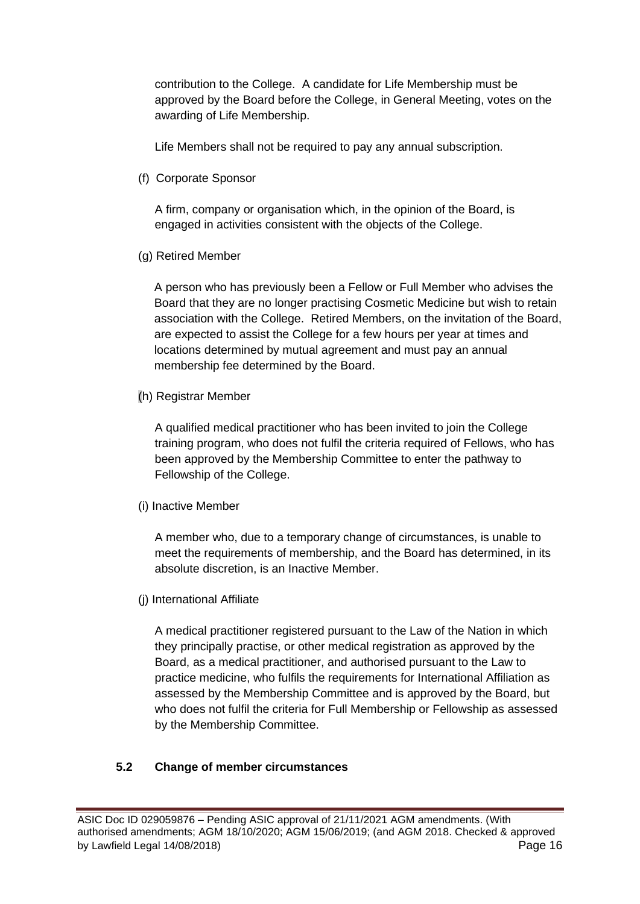contribution to the College. A candidate for Life Membership must be approved by the Board before the College, in General Meeting, votes on the awarding of Life Membership.

Life Members shall not be required to pay any annual subscription.

(f) Corporate Sponsor

A firm, company or organisation which, in the opinion of the Board, is engaged in activities consistent with the objects of the College.

(g) Retired Member

A person who has previously been a Fellow or Full Member who advises the Board that they are no longer practising Cosmetic Medicine but wish to retain association with the College. Retired Members, on the invitation of the Board, are expected to assist the College for a few hours per year at times and locations determined by mutual agreement and must pay an annual membership fee determined by the Board.

(h) Registrar Member

A qualified medical practitioner who has been invited to join the College training program, who does not fulfil the criteria required of Fellows, who has been approved by the Membership Committee to enter the pathway to Fellowship of the College.

(i) Inactive Member

A member who, due to a temporary change of circumstances, is unable to meet the requirements of membership, and the Board has determined, in its absolute discretion, is an Inactive Member.

(j) International Affiliate

A medical practitioner registered pursuant to the Law of the Nation in which they principally practise, or other medical registration as approved by the Board, as a medical practitioner, and authorised pursuant to the Law to practice medicine, who fulfils the requirements for International Affiliation as assessed by the Membership Committee and is approved by the Board, but who does not fulfil the criteria for Full Membership or Fellowship as assessed by the Membership Committee.

#### **5.2 Change of member circumstances**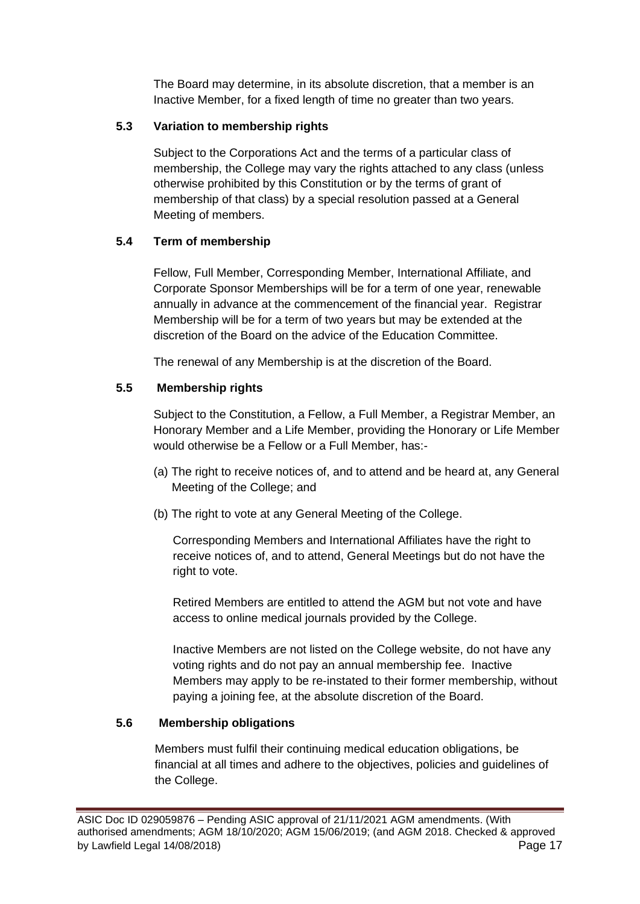The Board may determine, in its absolute discretion, that a member is an Inactive Member, for a fixed length of time no greater than two years.

## **5.3 Variation to membership rights**

Subject to the Corporations Act and the terms of a particular class of membership, the College may vary the rights attached to any class (unless otherwise prohibited by this Constitution or by the terms of grant of membership of that class) by a special resolution passed at a General Meeting of members.

## **5.4 Term of membership**

Fellow, Full Member, Corresponding Member, International Affiliate, and Corporate Sponsor Memberships will be for a term of one year, renewable annually in advance at the commencement of the financial year. Registrar Membership will be for a term of two years but may be extended at the discretion of the Board on the advice of the Education Committee.

The renewal of any Membership is at the discretion of the Board.

## **5.5 Membership rights**

Subject to the Constitution, a Fellow, a Full Member, a Registrar Member, an Honorary Member and a Life Member, providing the Honorary or Life Member would otherwise be a Fellow or a Full Member, has:-

- (a) The right to receive notices of, and to attend and be heard at, any General Meeting of the College; and
- (b) The right to vote at any General Meeting of the College.

Corresponding Members and International Affiliates have the right to receive notices of, and to attend, General Meetings but do not have the right to vote.

Retired Members are entitled to attend the AGM but not vote and have access to online medical journals provided by the College.

Inactive Members are not listed on the College website, do not have any voting rights and do not pay an annual membership fee. Inactive Members may apply to be re-instated to their former membership, without paying a joining fee, at the absolute discretion of the Board.

#### **5.6 Membership obligations**

Members must fulfil their continuing medical education obligations, be financial at all times and adhere to the objectives, policies and guidelines of the College.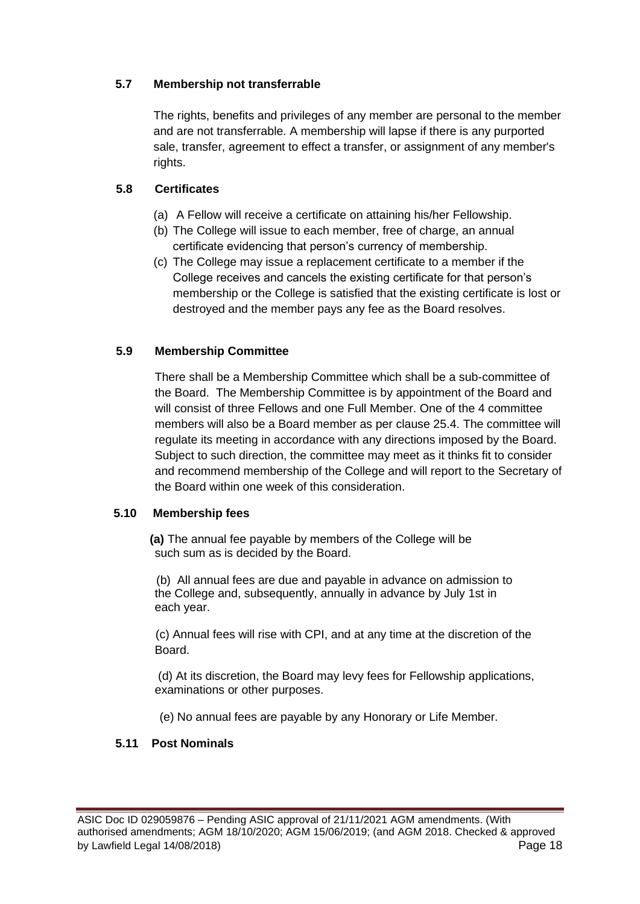## **5.7 Membership not transferrable**

The rights, benefits and privileges of any member are personal to the member and are not transferrable. A membership will lapse if there is any purported sale, transfer, agreement to effect a transfer, or assignment of any member's rights.

## **5.8 Certificates**

- (a) A Fellow will receive a certificate on attaining his/her Fellowship.
- (b) The College will issue to each member, free of charge, an annual certificate evidencing that person's currency of membership.
- (c) The College may issue a replacement certificate to a member if the College receives and cancels the existing certificate for that person's membership or the College is satisfied that the existing certificate is lost or destroyed and the member pays any fee as the Board resolves.

## **5.9 Membership Committee**

There shall be a Membership Committee which shall be a sub-committee of the Board. The Membership Committee is by appointment of the Board and will consist of three Fellows and one Full Member. One of the 4 committee members will also be a Board member as per clause 25.4. The committee will regulate its meeting in accordance with any directions imposed by the Board. Subject to such direction, the committee may meet as it thinks fit to consider and recommend membership of the College and will report to the Secretary of the Board within one week of this consideration.

#### **5.10 Membership fees**

 **(a)** The annual fee payable by members of the College will be such sum as is decided by the Board.

 (b) All annual fees are due and payable in advance on admission to the College and, subsequently, annually in advance by July 1st in each year.

(c) Annual fees will rise with CPI, and at any time at the discretion of the Board.

(d) At its discretion, the Board may levy fees for Fellowship applications, examinations or other purposes.

(e) No annual fees are payable by any Honorary or Life Member.

#### **5.11 Post Nominals**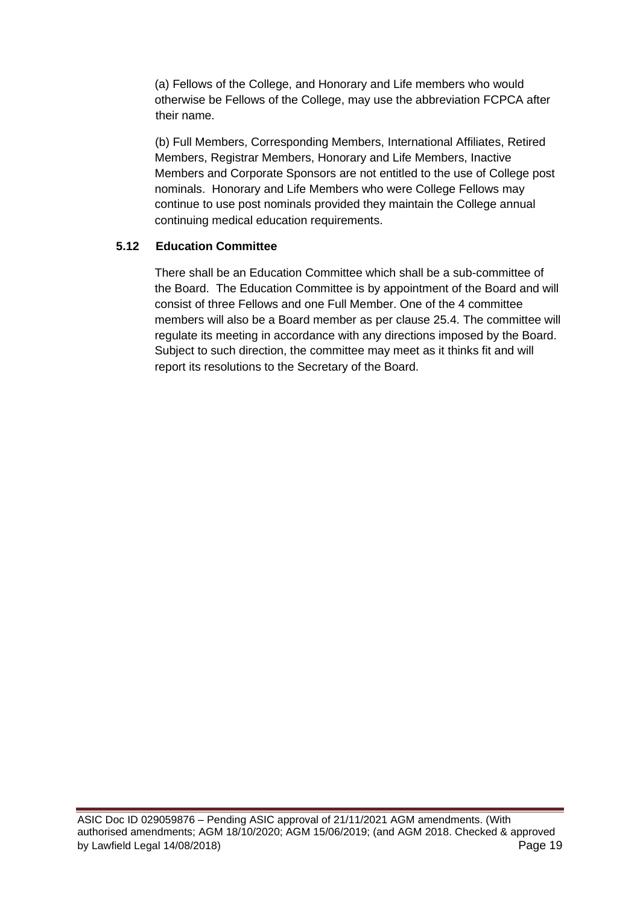(a) Fellows of the College, and Honorary and Life members who would otherwise be Fellows of the College, may use the abbreviation FCPCA after their name.

(b) Full Members, Corresponding Members, International Affiliates, Retired Members, Registrar Members, Honorary and Life Members, Inactive Members and Corporate Sponsors are not entitled to the use of College post nominals. Honorary and Life Members who were College Fellows may continue to use post nominals provided they maintain the College annual continuing medical education requirements.

#### **5.12 Education Committee**

There shall be an Education Committee which shall be a sub-committee of the Board. The Education Committee is by appointment of the Board and will consist of three Fellows and one Full Member. One of the 4 committee members will also be a Board member as per clause 25.4. The committee will regulate its meeting in accordance with any directions imposed by the Board. Subject to such direction, the committee may meet as it thinks fit and will report its resolutions to the Secretary of the Board.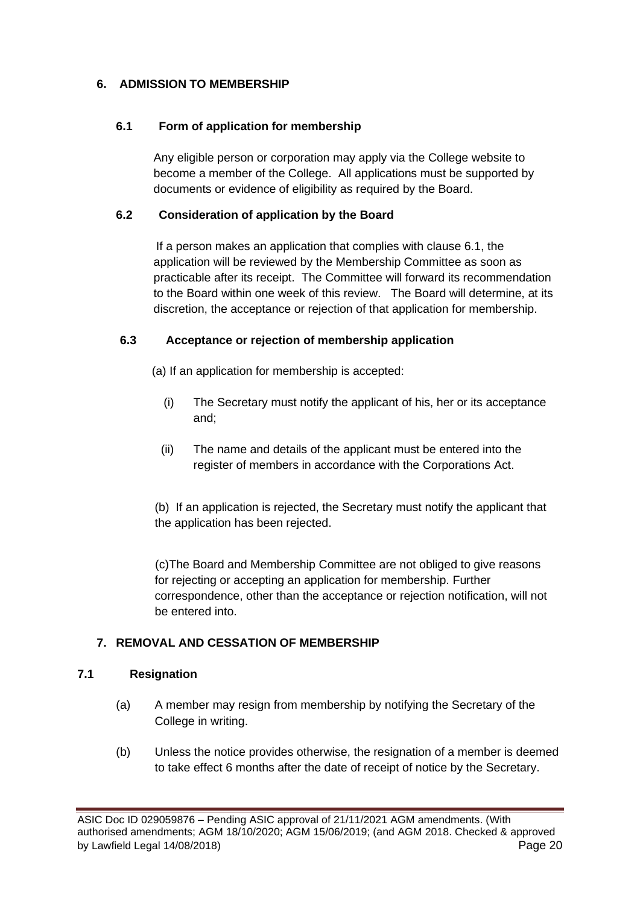## **6. ADMISSION TO MEMBERSHIP**

## **6.1 Form of application for membership**

Any eligible person or corporation may apply via the College website to become a member of the College. All applications must be supported by documents or evidence of eligibility as required by the Board.

## **6.2 Consideration of application by the Board**

If a person makes an application that complies with clause 6.1, the application will be reviewed by the Membership Committee as soon as practicable after its receipt. The Committee will forward its recommendation to the Board within one week of this review. The Board will determine, at its discretion, the acceptance or rejection of that application for membership.

## **6.3 Acceptance or rejection of membership application**

(a) If an application for membership is accepted:

- (i) The Secretary must notify the applicant of his, her or its acceptance and;
- (ii) The name and details of the applicant must be entered into the register of members in accordance with the Corporations Act.

(b) If an application is rejected, the Secretary must notify the applicant that the application has been rejected.

 (c)The Board and Membership Committee are not obliged to give reasons for rejecting or accepting an application for membership. Further correspondence, other than the acceptance or rejection notification, will not be entered into.

#### **7. REMOVAL AND CESSATION OF MEMBERSHIP**

#### **7.1 Resignation**

- (a) A member may resign from membership by notifying the Secretary of the College in writing.
- (b) Unless the notice provides otherwise, the resignation of a member is deemed to take effect 6 months after the date of receipt of notice by the Secretary.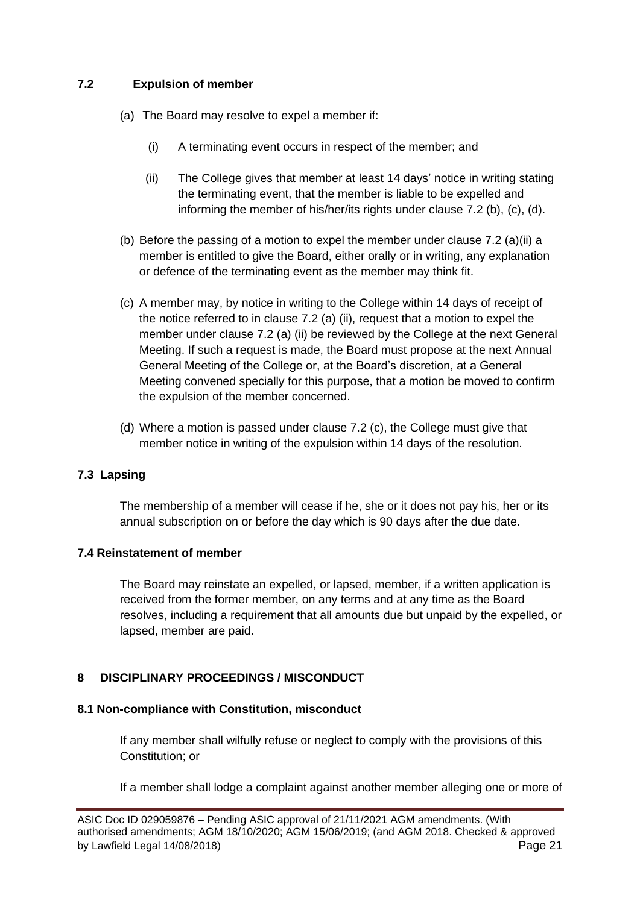## **7.2 Expulsion of member**

- (a) The Board may resolve to expel a member if:
	- (i) A terminating event occurs in respect of the member; and
	- (ii) The College gives that member at least 14 days' notice in writing stating the terminating event, that the member is liable to be expelled and informing the member of his/her/its rights under clause 7.2 (b), (c), (d).
- (b) Before the passing of a motion to expel the member under clause 7.2 (a)(ii) a member is entitled to give the Board, either orally or in writing, any explanation or defence of the terminating event as the member may think fit.
- (c) A member may, by notice in writing to the College within 14 days of receipt of the notice referred to in clause 7.2 (a) (ii), request that a motion to expel the member under clause 7.2 (a) (ii) be reviewed by the College at the next General Meeting. If such a request is made, the Board must propose at the next Annual General Meeting of the College or, at the Board's discretion, at a General Meeting convened specially for this purpose, that a motion be moved to confirm the expulsion of the member concerned.
- (d) Where a motion is passed under clause 7.2 (c), the College must give that member notice in writing of the expulsion within 14 days of the resolution.

#### **7.3 Lapsing**

The membership of a member will cease if he, she or it does not pay his, her or its annual subscription on or before the day which is 90 days after the due date.

#### **7.4 Reinstatement of member**

The Board may reinstate an expelled, or lapsed, member, if a written application is received from the former member, on any terms and at any time as the Board resolves, including a requirement that all amounts due but unpaid by the expelled, or lapsed, member are paid.

#### **8 DISCIPLINARY PROCEEDINGS / MISCONDUCT**

#### **8.1 Non-compliance with Constitution, misconduct**

If any member shall wilfully refuse or neglect to comply with the provisions of this Constitution; or

If a member shall lodge a complaint against another member alleging one or more of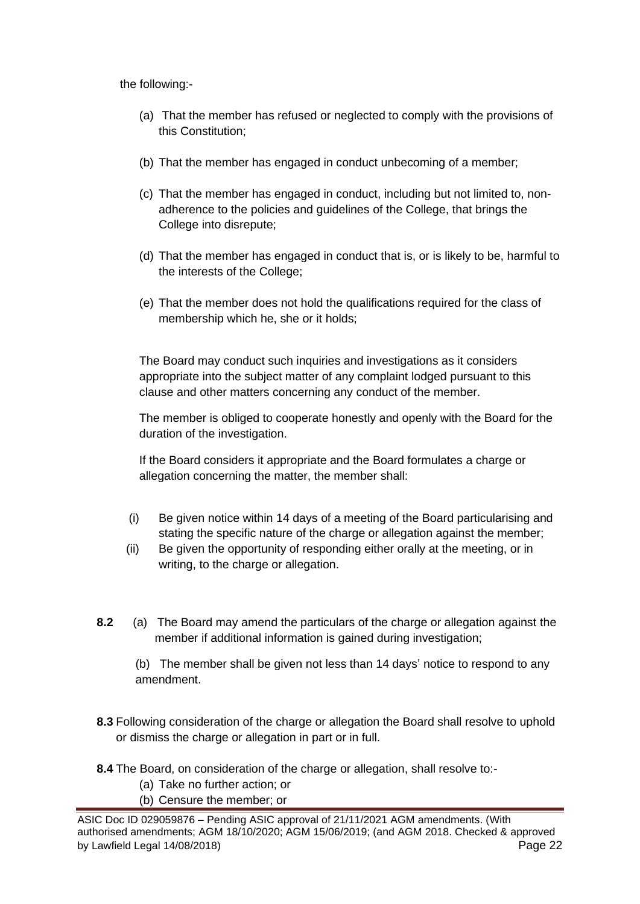the following:-

- (a) That the member has refused or neglected to comply with the provisions of this Constitution;
- (b) That the member has engaged in conduct unbecoming of a member;
- (c) That the member has engaged in conduct, including but not limited to, nonadherence to the policies and guidelines of the College, that brings the College into disrepute;
- (d) That the member has engaged in conduct that is, or is likely to be, harmful to the interests of the College;
- (e) That the member does not hold the qualifications required for the class of membership which he, she or it holds;

The Board may conduct such inquiries and investigations as it considers appropriate into the subject matter of any complaint lodged pursuant to this clause and other matters concerning any conduct of the member.

The member is obliged to cooperate honestly and openly with the Board for the duration of the investigation.

If the Board considers it appropriate and the Board formulates a charge or allegation concerning the matter, the member shall:

- (i) Be given notice within 14 days of a meeting of the Board particularising and stating the specific nature of the charge or allegation against the member;
- (ii) Be given the opportunity of responding either orally at the meeting, or in writing, to the charge or allegation.
- **8.2** (a) The Board may amend the particulars of the charge or allegation against the member if additional information is gained during investigation;
	- (b) The member shall be given not less than 14 days' notice to respond to any amendment.
- **8.3** Following consideration of the charge or allegation the Board shall resolve to uphold or dismiss the charge or allegation in part or in full.
- **8.4** The Board, on consideration of the charge or allegation, shall resolve to:-
	- (a) Take no further action; or
	- (b) Censure the member; or

ASIC Doc ID 029059876 – Pending ASIC approval of 21/11/2021 AGM amendments. (With authorised amendments; AGM 18/10/2020; AGM 15/06/2019; (and AGM 2018. Checked & approved by Lawfield Legal 14/08/2018) **Page 22**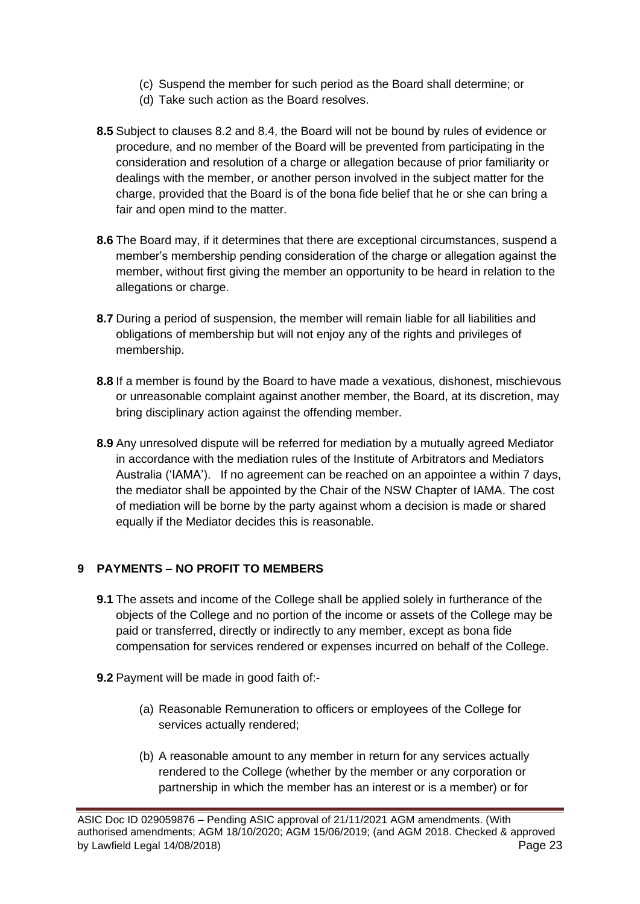- (c) Suspend the member for such period as the Board shall determine; or
- (d) Take such action as the Board resolves.
- **8.5** Subject to clauses 8.2 and 8.4, the Board will not be bound by rules of evidence or procedure, and no member of the Board will be prevented from participating in the consideration and resolution of a charge or allegation because of prior familiarity or dealings with the member, or another person involved in the subject matter for the charge, provided that the Board is of the bona fide belief that he or she can bring a fair and open mind to the matter.
- **8.6** The Board may, if it determines that there are exceptional circumstances, suspend a member's membership pending consideration of the charge or allegation against the member, without first giving the member an opportunity to be heard in relation to the allegations or charge.
- **8.7** During a period of suspension, the member will remain liable for all liabilities and obligations of membership but will not enjoy any of the rights and privileges of membership.
- **8.8** If a member is found by the Board to have made a vexatious, dishonest, mischievous or unreasonable complaint against another member, the Board, at its discretion, may bring disciplinary action against the offending member.
- **8.9** Any unresolved dispute will be referred for mediation by a mutually agreed Mediator in accordance with the mediation rules of the Institute of Arbitrators and Mediators Australia ('IAMA'). If no agreement can be reached on an appointee a within 7 days, the mediator shall be appointed by the Chair of the NSW Chapter of IAMA. The cost of mediation will be borne by the party against whom a decision is made or shared equally if the Mediator decides this is reasonable.

#### **9 PAYMENTS – NO PROFIT TO MEMBERS**

- **9.1** The assets and income of the College shall be applied solely in furtherance of the objects of the College and no portion of the income or assets of the College may be paid or transferred, directly or indirectly to any member, except as bona fide compensation for services rendered or expenses incurred on behalf of the College.
- **9.2** Payment will be made in good faith of:-
	- (a) Reasonable Remuneration to officers or employees of the College for services actually rendered;
	- (b) A reasonable amount to any member in return for any services actually rendered to the College (whether by the member or any corporation or partnership in which the member has an interest or is a member) or for

ASIC Doc ID 029059876 – Pending ASIC approval of 21/11/2021 AGM amendments. (With authorised amendments; AGM 18/10/2020; AGM 15/06/2019; (and AGM 2018. Checked & approved by Lawfield Legal 14/08/2018) **Page 23**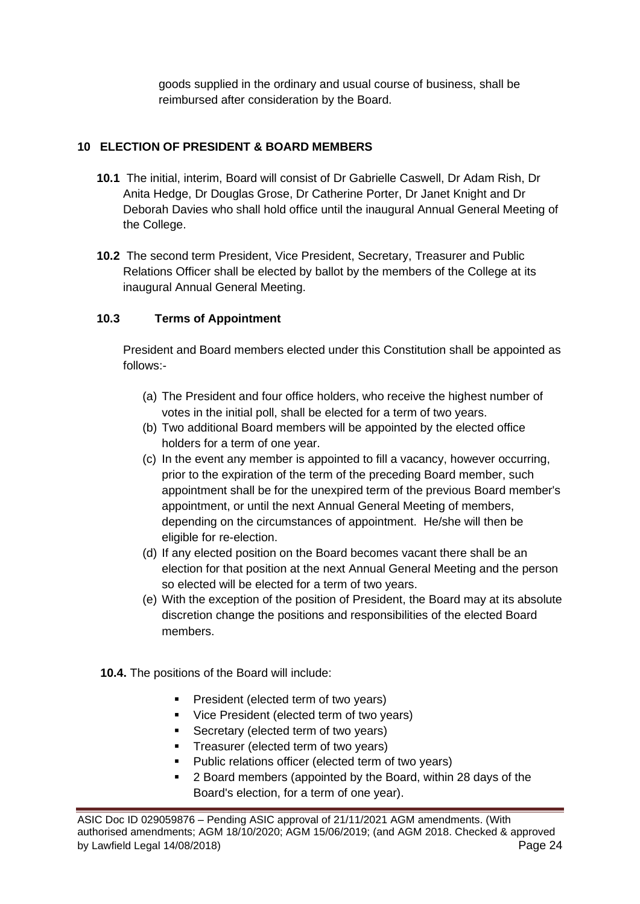goods supplied in the ordinary and usual course of business, shall be reimbursed after consideration by the Board.

## **10 ELECTION OF PRESIDENT & BOARD MEMBERS**

- **10.1** The initial, interim, Board will consist of Dr Gabrielle Caswell, Dr Adam Rish, Dr Anita Hedge, Dr Douglas Grose, Dr Catherine Porter, Dr Janet Knight and Dr Deborah Davies who shall hold office until the inaugural Annual General Meeting of the College.
- **10.2** The second term President, Vice President, Secretary, Treasurer and Public Relations Officer shall be elected by ballot by the members of the College at its inaugural Annual General Meeting.

## **10.3 Terms of Appointment**

President and Board members elected under this Constitution shall be appointed as follows:-

- (a) The President and four office holders, who receive the highest number of votes in the initial poll, shall be elected for a term of two years.
- (b) Two additional Board members will be appointed by the elected office holders for a term of one year.
- (c) In the event any member is appointed to fill a vacancy, however occurring, prior to the expiration of the term of the preceding Board member, such appointment shall be for the unexpired term of the previous Board member's appointment, or until the next Annual General Meeting of members, depending on the circumstances of appointment. He/she will then be eligible for re-election.
- (d) If any elected position on the Board becomes vacant there shall be an election for that position at the next Annual General Meeting and the person so elected will be elected for a term of two years.
- (e) With the exception of the position of President, the Board may at its absolute discretion change the positions and responsibilities of the elected Board members.
- **10.4.** The positions of the Board will include:
	- **•** President (elected term of two years)
	- Vice President (elected term of two years)
	- Secretary (elected term of two years)
	- **•** Treasurer (elected term of two years)
	- Public relations officer (elected term of two years)
	- 2 Board members (appointed by the Board, within 28 days of the Board's election, for a term of one year).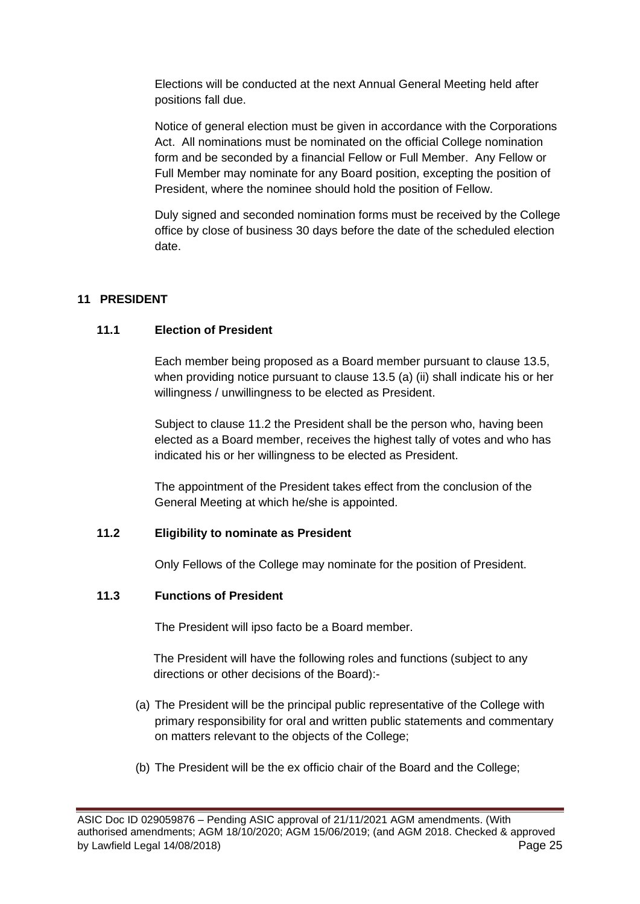Elections will be conducted at the next Annual General Meeting held after positions fall due.

Notice of general election must be given in accordance with the Corporations Act. All nominations must be nominated on the official College nomination form and be seconded by a financial Fellow or Full Member. Any Fellow or Full Member may nominate for any Board position, excepting the position of President, where the nominee should hold the position of Fellow.

Duly signed and seconded nomination forms must be received by the College office by close of business 30 days before the date of the scheduled election date.

#### **11 PRESIDENT**

#### **11.1 Election of President**

Each member being proposed as a Board member pursuant to clause 13.5, when providing notice pursuant to clause 13.5 (a) (ii) shall indicate his or her willingness / unwillingness to be elected as President.

Subject to clause 11.2 the President shall be the person who, having been elected as a Board member, receives the highest tally of votes and who has indicated his or her willingness to be elected as President.

The appointment of the President takes effect from the conclusion of the General Meeting at which he/she is appointed.

#### **11.2 Eligibility to nominate as President**

Only Fellows of the College may nominate for the position of President.

#### **11.3 Functions of President**

The President will ipso facto be a Board member.

The President will have the following roles and functions (subject to any directions or other decisions of the Board):-

- (a) The President will be the principal public representative of the College with primary responsibility for oral and written public statements and commentary on matters relevant to the objects of the College;
- (b) The President will be the ex officio chair of the Board and the College;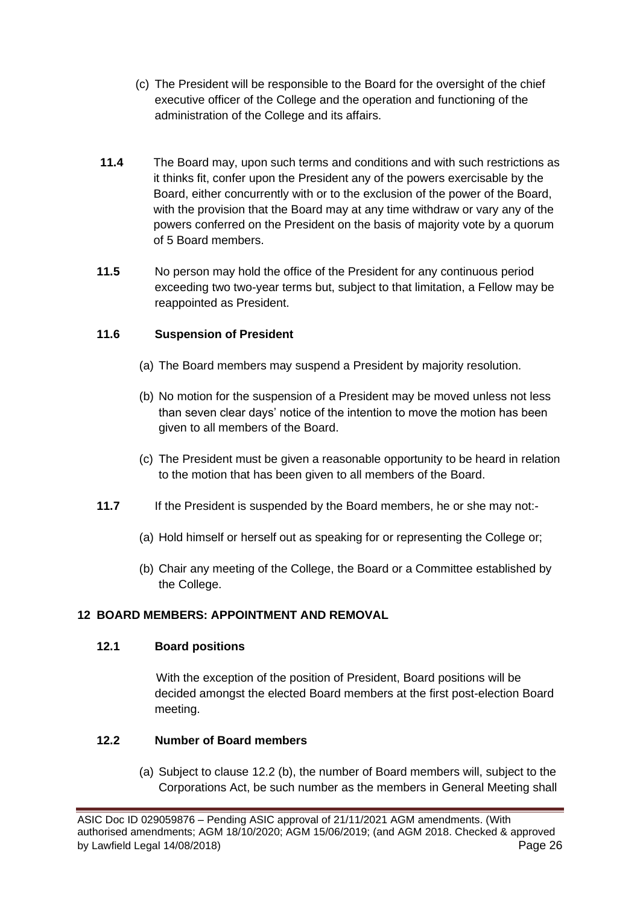- (c) The President will be responsible to the Board for the oversight of the chief executive officer of the College and the operation and functioning of the administration of the College and its affairs.
- **11.4** The Board may, upon such terms and conditions and with such restrictions as it thinks fit, confer upon the President any of the powers exercisable by the Board, either concurrently with or to the exclusion of the power of the Board, with the provision that the Board may at any time withdraw or vary any of the powers conferred on the President on the basis of majority vote by a quorum of 5 Board members.
- **11.5** No person may hold the office of the President for any continuous period exceeding two two-year terms but, subject to that limitation, a Fellow may be reappointed as President.

## **11.6 Suspension of President**

- (a) The Board members may suspend a President by majority resolution.
- (b) No motion for the suspension of a President may be moved unless not less than seven clear days' notice of the intention to move the motion has been given to all members of the Board.
- (c) The President must be given a reasonable opportunity to be heard in relation to the motion that has been given to all members of the Board.
- **11.7** If the President is suspended by the Board members, he or she may not:-
	- (a) Hold himself or herself out as speaking for or representing the College or;
	- (b) Chair any meeting of the College, the Board or a Committee established by the College.

## **12 BOARD MEMBERS: APPOINTMENT AND REMOVAL**

#### **12.1 Board positions**

With the exception of the position of President, Board positions will be decided amongst the elected Board members at the first post-election Board meeting.

#### **12.2 Number of Board members**

(a) Subject to clause 12.2 (b), the number of Board members will, subject to the Corporations Act, be such number as the members in General Meeting shall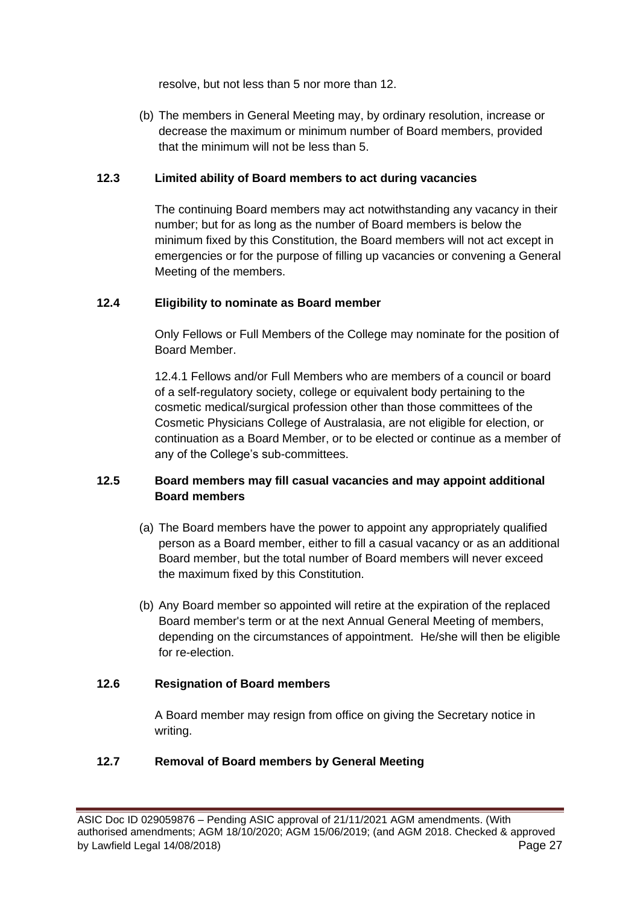resolve, but not less than 5 nor more than 12.

(b) The members in General Meeting may, by ordinary resolution, increase or decrease the maximum or minimum number of Board members, provided that the minimum will not be less than 5.

## **12.3 Limited ability of Board members to act during vacancies**

The continuing Board members may act notwithstanding any vacancy in their number; but for as long as the number of Board members is below the minimum fixed by this Constitution, the Board members will not act except in emergencies or for the purpose of filling up vacancies or convening a General Meeting of the members.

## **12.4 Eligibility to nominate as Board member**

Only Fellows or Full Members of the College may nominate for the position of Board Member.

12.4.1 Fellows and/or Full Members who are members of a council or board of a self-regulatory society, college or equivalent body pertaining to the cosmetic medical/surgical profession other than those committees of the Cosmetic Physicians College of Australasia, are not eligible for election, or continuation as a Board Member, or to be elected or continue as a member of any of the College's sub-committees.

## **12.5 Board members may fill casual vacancies and may appoint additional Board members**

- (a) The Board members have the power to appoint any appropriately qualified person as a Board member, either to fill a casual vacancy or as an additional Board member, but the total number of Board members will never exceed the maximum fixed by this Constitution.
- (b) Any Board member so appointed will retire at the expiration of the replaced Board member's term or at the next Annual General Meeting of members, depending on the circumstances of appointment. He/she will then be eligible for re-election.

#### **12.6 Resignation of Board members**

A Board member may resign from office on giving the Secretary notice in writing.

#### **12.7 Removal of Board members by General Meeting**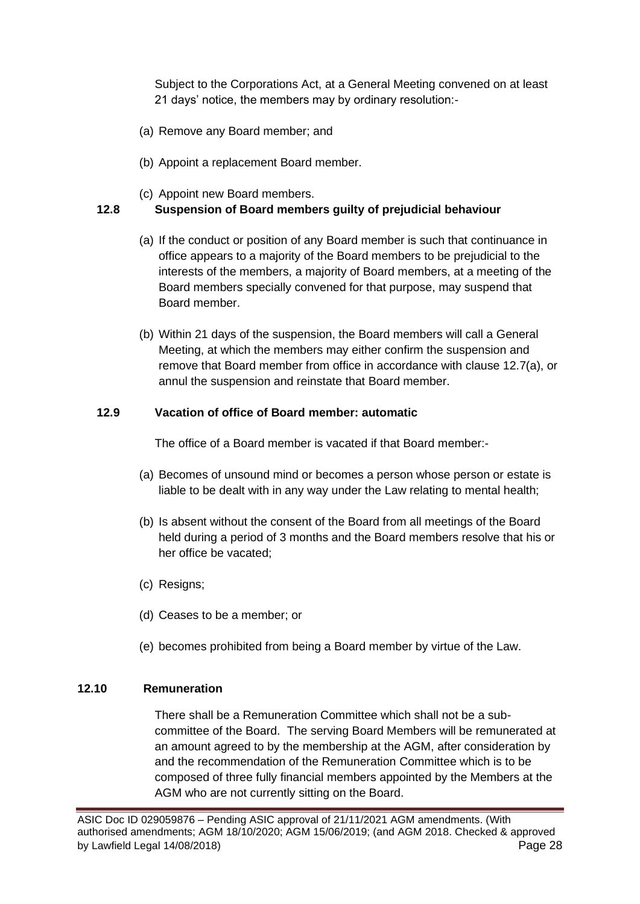Subject to the Corporations Act, at a General Meeting convened on at least 21 days' notice, the members may by ordinary resolution:-

- (a) Remove any Board member; and
- (b) Appoint a replacement Board member.
- (c) Appoint new Board members.

#### **12.8 Suspension of Board members guilty of prejudicial behaviour**

- (a) If the conduct or position of any Board member is such that continuance in office appears to a majority of the Board members to be prejudicial to the interests of the members, a majority of Board members, at a meeting of the Board members specially convened for that purpose, may suspend that Board member.
- (b) Within 21 days of the suspension, the Board members will call a General Meeting, at which the members may either confirm the suspension and remove that Board member from office in accordance with clause 12.7(a), or annul the suspension and reinstate that Board member.

#### **12.9 Vacation of office of Board member: automatic**

The office of a Board member is vacated if that Board member:-

- (a) Becomes of unsound mind or becomes a person whose person or estate is liable to be dealt with in any way under the Law relating to mental health;
- (b) Is absent without the consent of the Board from all meetings of the Board held during a period of 3 months and the Board members resolve that his or her office be vacated;
- (c) Resigns;
- (d) Ceases to be a member; or
- (e) becomes prohibited from being a Board member by virtue of the Law.

#### **12.10 Remuneration**

There shall be a Remuneration Committee which shall not be a subcommittee of the Board. The serving Board Members will be remunerated at an amount agreed to by the membership at the AGM, after consideration by and the recommendation of the Remuneration Committee which is to be composed of three fully financial members appointed by the Members at the AGM who are not currently sitting on the Board.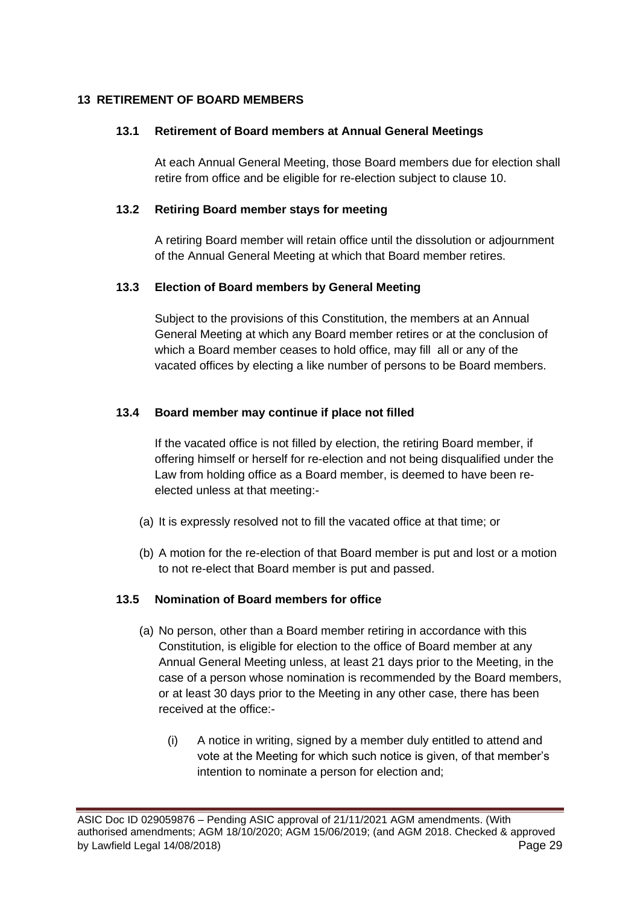#### **13 RETIREMENT OF BOARD MEMBERS**

#### **13.1 Retirement of Board members at Annual General Meetings**

At each Annual General Meeting, those Board members due for election shall retire from office and be eligible for re-election subject to clause 10.

#### **13.2 Retiring Board member stays for meeting**

A retiring Board member will retain office until the dissolution or adjournment of the Annual General Meeting at which that Board member retires.

#### **13.3 Election of Board members by General Meeting**

Subject to the provisions of this Constitution, the members at an Annual General Meeting at which any Board member retires or at the conclusion of which a Board member ceases to hold office, may fill all or any of the vacated offices by electing a like number of persons to be Board members.

#### **13.4 Board member may continue if place not filled**

If the vacated office is not filled by election, the retiring Board member, if offering himself or herself for re-election and not being disqualified under the Law from holding office as a Board member, is deemed to have been reelected unless at that meeting:-

- (a) It is expressly resolved not to fill the vacated office at that time; or
- (b) A motion for the re-election of that Board member is put and lost or a motion to not re-elect that Board member is put and passed.

#### **13.5 Nomination of Board members for office**

- (a) No person, other than a Board member retiring in accordance with this Constitution, is eligible for election to the office of Board member at any Annual General Meeting unless, at least 21 days prior to the Meeting, in the case of a person whose nomination is recommended by the Board members, or at least 30 days prior to the Meeting in any other case, there has been received at the office:-
	- (i) A notice in writing, signed by a member duly entitled to attend and vote at the Meeting for which such notice is given, of that member's intention to nominate a person for election and;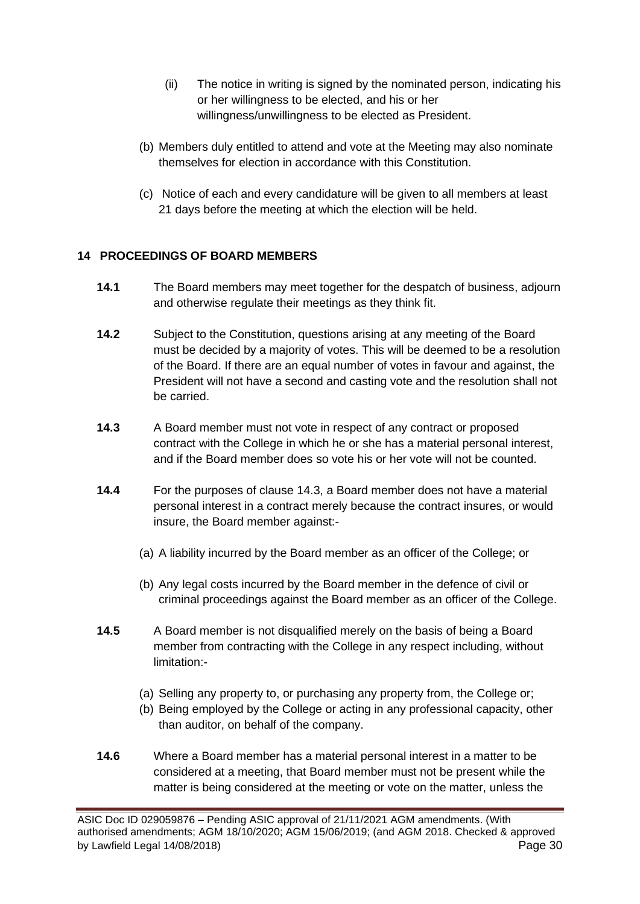- (ii) The notice in writing is signed by the nominated person, indicating his or her willingness to be elected, and his or her willingness/unwillingness to be elected as President.
- (b) Members duly entitled to attend and vote at the Meeting may also nominate themselves for election in accordance with this Constitution.
- (c) Notice of each and every candidature will be given to all members at least 21 days before the meeting at which the election will be held.

## **14 PROCEEDINGS OF BOARD MEMBERS**

- **14.1** The Board members may meet together for the despatch of business, adjourn and otherwise regulate their meetings as they think fit.
- **14.2** Subject to the Constitution, questions arising at any meeting of the Board must be decided by a majority of votes. This will be deemed to be a resolution of the Board. If there are an equal number of votes in favour and against, the President will not have a second and casting vote and the resolution shall not be carried.
- **14.3** A Board member must not vote in respect of any contract or proposed contract with the College in which he or she has a material personal interest, and if the Board member does so vote his or her vote will not be counted.
- **14.4** For the purposes of clause 14.3, a Board member does not have a material personal interest in a contract merely because the contract insures, or would insure, the Board member against:-
	- (a) A liability incurred by the Board member as an officer of the College; or
	- (b) Any legal costs incurred by the Board member in the defence of civil or criminal proceedings against the Board member as an officer of the College.
- **14.5** A Board member is not disqualified merely on the basis of being a Board member from contracting with the College in any respect including, without limitation:-
	- (a) Selling any property to, or purchasing any property from, the College or;
	- (b) Being employed by the College or acting in any professional capacity, other than auditor, on behalf of the company.
- **14.6** Where a Board member has a material personal interest in a matter to be considered at a meeting, that Board member must not be present while the matter is being considered at the meeting or vote on the matter, unless the

ASIC Doc ID 029059876 – Pending ASIC approval of 21/11/2021 AGM amendments. (With authorised amendments; AGM 18/10/2020; AGM 15/06/2019; (and AGM 2018. Checked & approved by Lawfield Legal 14/08/2018) **Page 30**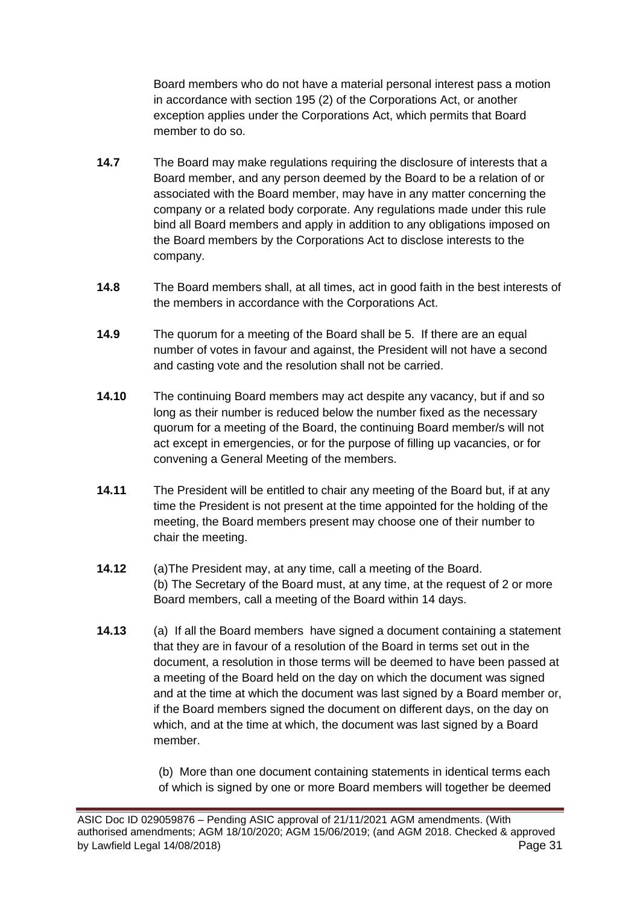Board members who do not have a material personal interest pass a motion in accordance with section 195 (2) of the Corporations Act, or another exception applies under the Corporations Act, which permits that Board member to do so.

- **14.7** The Board may make regulations requiring the disclosure of interests that a Board member, and any person deemed by the Board to be a relation of or associated with the Board member, may have in any matter concerning the company or a related body corporate. Any regulations made under this rule bind all Board members and apply in addition to any obligations imposed on the Board members by the Corporations Act to disclose interests to the company.
- **14.8** The Board members shall, at all times, act in good faith in the best interests of the members in accordance with the Corporations Act.
- **14.9** The quorum for a meeting of the Board shall be 5. If there are an equal number of votes in favour and against, the President will not have a second and casting vote and the resolution shall not be carried.
- **14.10** The continuing Board members may act despite any vacancy, but if and so long as their number is reduced below the number fixed as the necessary quorum for a meeting of the Board, the continuing Board member/s will not act except in emergencies, or for the purpose of filling up vacancies, or for convening a General Meeting of the members.
- **14.11** The President will be entitled to chair any meeting of the Board but, if at any time the President is not present at the time appointed for the holding of the meeting, the Board members present may choose one of their number to chair the meeting.
- **14.12** (a)The President may, at any time, call a meeting of the Board. (b) The Secretary of the Board must, at any time, at the request of 2 or more Board members, call a meeting of the Board within 14 days.
- **14.13** (a) If all the Board members have signed a document containing a statement that they are in favour of a resolution of the Board in terms set out in the document, a resolution in those terms will be deemed to have been passed at a meeting of the Board held on the day on which the document was signed and at the time at which the document was last signed by a Board member or, if the Board members signed the document on different days, on the day on which, and at the time at which, the document was last signed by a Board member.

(b) More than one document containing statements in identical terms each of which is signed by one or more Board members will together be deemed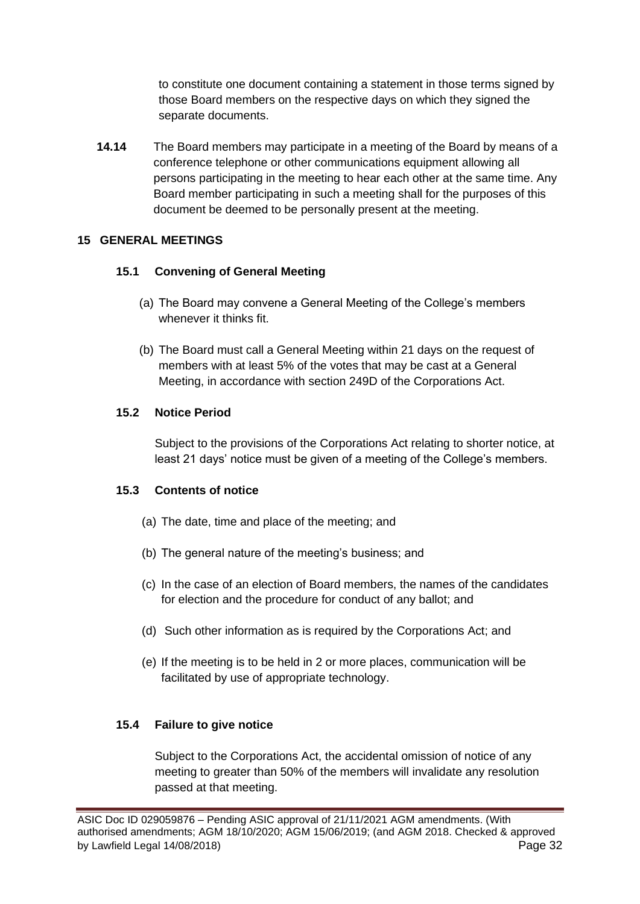to constitute one document containing a statement in those terms signed by those Board members on the respective days on which they signed the separate documents.

**14.14** The Board members may participate in a meeting of the Board by means of a conference telephone or other communications equipment allowing all persons participating in the meeting to hear each other at the same time. Any Board member participating in such a meeting shall for the purposes of this document be deemed to be personally present at the meeting.

#### **15 GENERAL MEETINGS**

#### **15.1 Convening of General Meeting**

- (a) The Board may convene a General Meeting of the College's members whenever it thinks fit.
- (b) The Board must call a General Meeting within 21 days on the request of members with at least 5% of the votes that may be cast at a General Meeting, in accordance with section 249D of the Corporations Act.

#### **15.2 Notice Period**

Subject to the provisions of the Corporations Act relating to shorter notice, at least 21 days' notice must be given of a meeting of the College's members.

#### **15.3 Contents of notice**

- (a) The date, time and place of the meeting; and
- (b) The general nature of the meeting's business; and
- (c) In the case of an election of Board members, the names of the candidates for election and the procedure for conduct of any ballot; and
- (d) Such other information as is required by the Corporations Act; and
- (e) If the meeting is to be held in 2 or more places, communication will be facilitated by use of appropriate technology.

#### **15.4 Failure to give notice**

Subject to the Corporations Act, the accidental omission of notice of any meeting to greater than 50% of the members will invalidate any resolution passed at that meeting.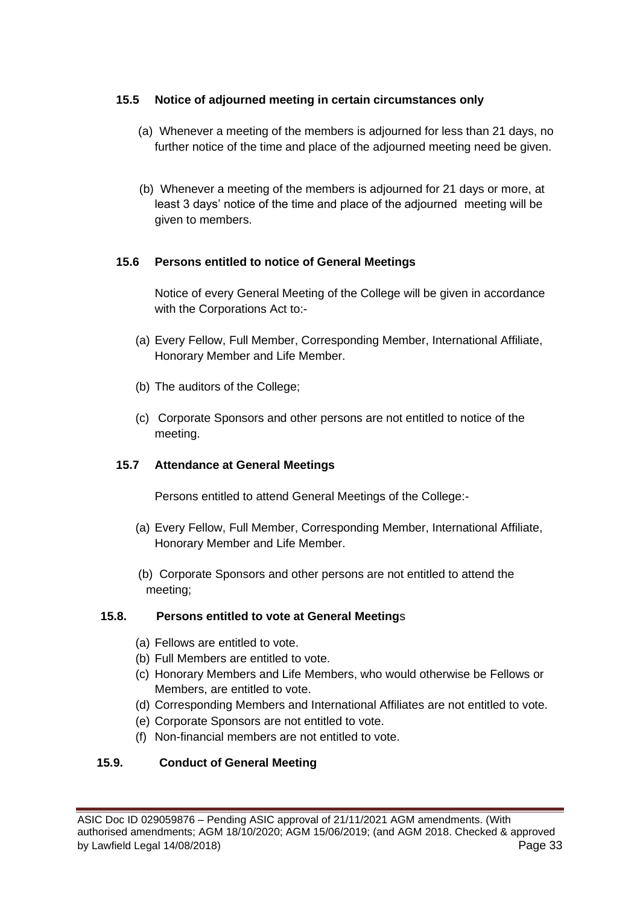## **15.5 Notice of adjourned meeting in certain circumstances only**

- (a) Whenever a meeting of the members is adjourned for less than 21 days, no further notice of the time and place of the adjourned meeting need be given.
- (b) Whenever a meeting of the members is adjourned for 21 days or more, at least 3 days' notice of the time and place of the adjourned meeting will be given to members.

## **15.6 Persons entitled to notice of General Meetings**

Notice of every General Meeting of the College will be given in accordance with the Corporations Act to:-

- (a) Every Fellow, Full Member, Corresponding Member, International Affiliate, Honorary Member and Life Member.
- (b) The auditors of the College;
- (c) Corporate Sponsors and other persons are not entitled to notice of the meeting.

## **15.7 Attendance at General Meetings**

Persons entitled to attend General Meetings of the College:-

- (a) Every Fellow, Full Member, Corresponding Member, International Affiliate, Honorary Member and Life Member.
- (b) Corporate Sponsors and other persons are not entitled to attend the meeting;

#### **15.8. Persons entitled to vote at General Meeting**s

- (a) Fellows are entitled to vote.
- (b) Full Members are entitled to vote.
- (c) Honorary Members and Life Members, who would otherwise be Fellows or Members, are entitled to vote.
- (d) Corresponding Members and International Affiliates are not entitled to vote.
- (e) Corporate Sponsors are not entitled to vote.
- (f) Non-financial members are not entitled to vote.

## **15.9. Conduct of General Meeting**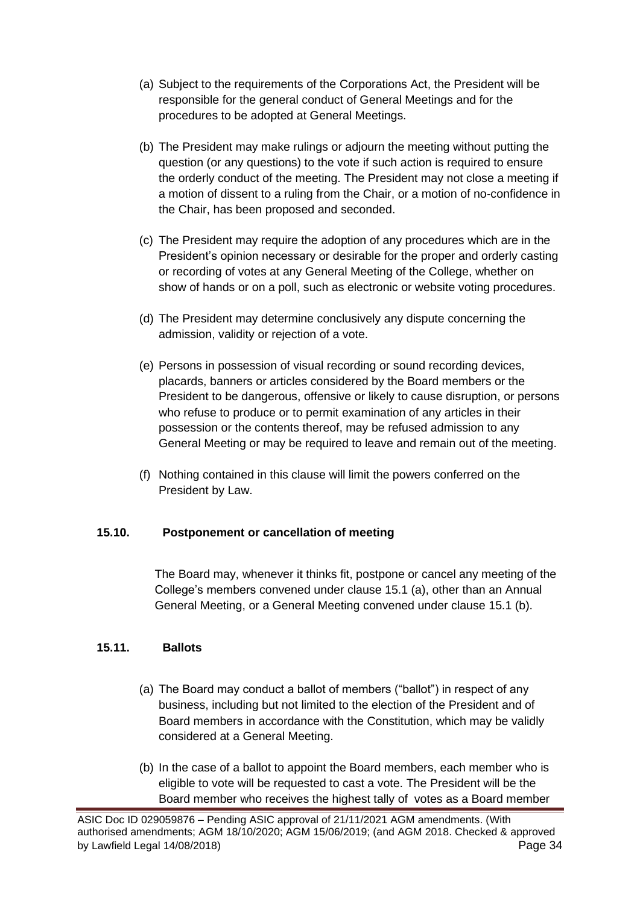- (a) Subject to the requirements of the Corporations Act, the President will be responsible for the general conduct of General Meetings and for the procedures to be adopted at General Meetings.
- (b) The President may make rulings or adjourn the meeting without putting the question (or any questions) to the vote if such action is required to ensure the orderly conduct of the meeting. The President may not close a meeting if a motion of dissent to a ruling from the Chair, or a motion of no-confidence in the Chair, has been proposed and seconded.
- (c) The President may require the adoption of any procedures which are in the President's opinion necessary or desirable for the proper and orderly casting or recording of votes at any General Meeting of the College, whether on show of hands or on a poll, such as electronic or website voting procedures.
- (d) The President may determine conclusively any dispute concerning the admission, validity or rejection of a vote.
- (e) Persons in possession of visual recording or sound recording devices, placards, banners or articles considered by the Board members or the President to be dangerous, offensive or likely to cause disruption, or persons who refuse to produce or to permit examination of any articles in their possession or the contents thereof, may be refused admission to any General Meeting or may be required to leave and remain out of the meeting.
- (f) Nothing contained in this clause will limit the powers conferred on the President by Law.

## **15.10. Postponement or cancellation of meeting**

The Board may, whenever it thinks fit, postpone or cancel any meeting of the College's members convened under clause 15.1 (a), other than an Annual General Meeting, or a General Meeting convened under clause 15.1 (b).

#### **15.11. Ballots**

- (a) The Board may conduct a ballot of members ("ballot") in respect of any business, including but not limited to the election of the President and of Board members in accordance with the Constitution, which may be validly considered at a General Meeting.
- (b) In the case of a ballot to appoint the Board members, each member who is eligible to vote will be requested to cast a vote. The President will be the Board member who receives the highest tally of votes as a Board member

ASIC Doc ID 029059876 – Pending ASIC approval of 21/11/2021 AGM amendments. (With authorised amendments; AGM 18/10/2020; AGM 15/06/2019; (and AGM 2018. Checked & approved by Lawfield Legal 14/08/2018) **Page 34**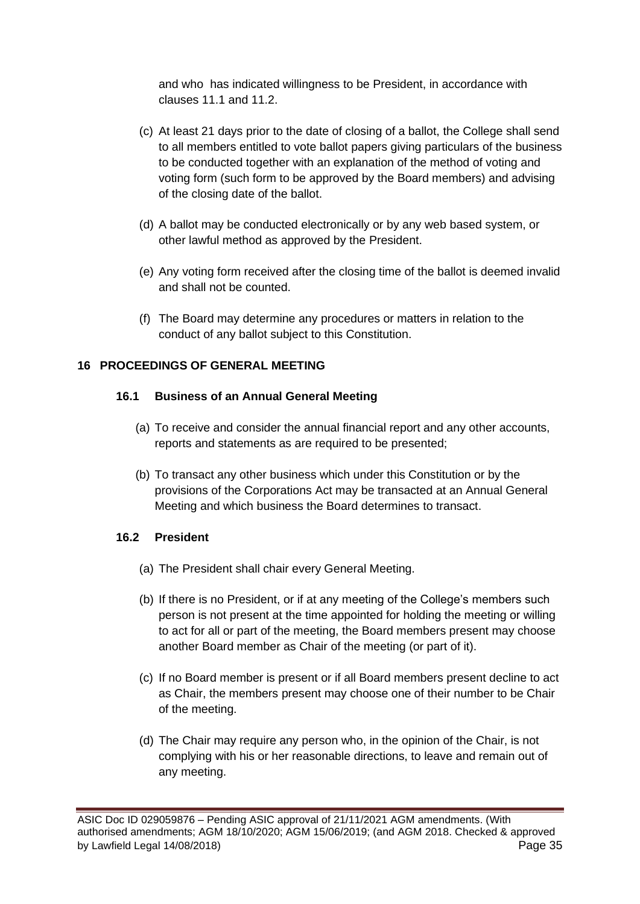and who has indicated willingness to be President, in accordance with clauses 11.1 and 11.2.

- (c) At least 21 days prior to the date of closing of a ballot, the College shall send to all members entitled to vote ballot papers giving particulars of the business to be conducted together with an explanation of the method of voting and voting form (such form to be approved by the Board members) and advising of the closing date of the ballot.
- (d) A ballot may be conducted electronically or by any web based system, or other lawful method as approved by the President.
- (e) Any voting form received after the closing time of the ballot is deemed invalid and shall not be counted.
- (f) The Board may determine any procedures or matters in relation to the conduct of any ballot subject to this Constitution.

#### **16 PROCEEDINGS OF GENERAL MEETING**

#### **16.1 Business of an Annual General Meeting**

- (a) To receive and consider the annual financial report and any other accounts, reports and statements as are required to be presented;
- (b) To transact any other business which under this Constitution or by the provisions of the Corporations Act may be transacted at an Annual General Meeting and which business the Board determines to transact.

#### **16.2 President**

- (a) The President shall chair every General Meeting.
- (b) If there is no President, or if at any meeting of the College's members such person is not present at the time appointed for holding the meeting or willing to act for all or part of the meeting, the Board members present may choose another Board member as Chair of the meeting (or part of it).
- (c) If no Board member is present or if all Board members present decline to act as Chair, the members present may choose one of their number to be Chair of the meeting.
- (d) The Chair may require any person who, in the opinion of the Chair, is not complying with his or her reasonable directions, to leave and remain out of any meeting.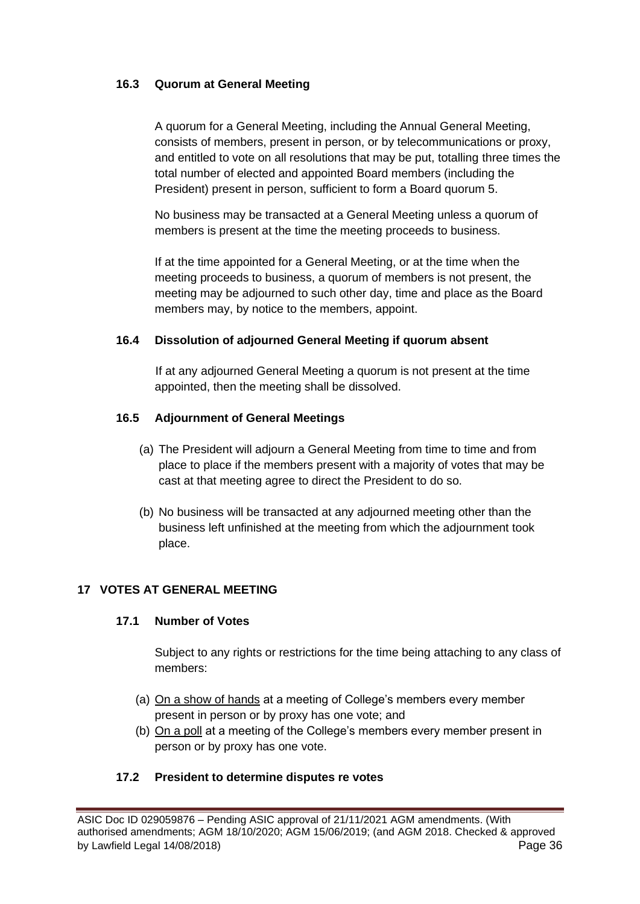## **16.3 Quorum at General Meeting**

A quorum for a General Meeting, including the Annual General Meeting, consists of members, present in person, or by telecommunications or proxy, and entitled to vote on all resolutions that may be put, totalling three times the total number of elected and appointed Board members (including the President) present in person, sufficient to form a Board quorum 5.

No business may be transacted at a General Meeting unless a quorum of members is present at the time the meeting proceeds to business.

If at the time appointed for a General Meeting, or at the time when the meeting proceeds to business, a quorum of members is not present, the meeting may be adjourned to such other day, time and place as the Board members may, by notice to the members, appoint.

#### **16.4 Dissolution of adjourned General Meeting if quorum absent**

If at any adjourned General Meeting a quorum is not present at the time appointed, then the meeting shall be dissolved.

## **16.5 Adjournment of General Meetings**

- (a) The President will adjourn a General Meeting from time to time and from place to place if the members present with a majority of votes that may be cast at that meeting agree to direct the President to do so.
- (b) No business will be transacted at any adjourned meeting other than the business left unfinished at the meeting from which the adjournment took place.

## **17 VOTES AT GENERAL MEETING**

#### **17.1 Number of Votes**

Subject to any rights or restrictions for the time being attaching to any class of members:

- (a) On a show of hands at a meeting of College's members every member present in person or by proxy has one vote; and
- (b) On a poll at a meeting of the College's members every member present in person or by proxy has one vote.

## **17.2 President to determine disputes re votes**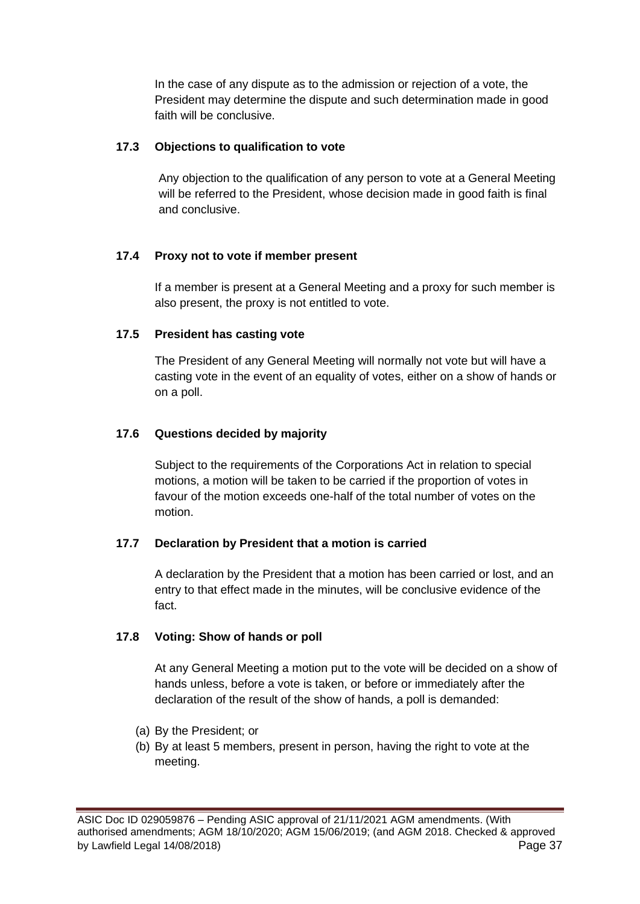In the case of any dispute as to the admission or rejection of a vote, the President may determine the dispute and such determination made in good faith will be conclusive.

## **17.3 Objections to qualification to vote**

Any objection to the qualification of any person to vote at a General Meeting will be referred to the President, whose decision made in good faith is final and conclusive.

## **17.4 Proxy not to vote if member present**

If a member is present at a General Meeting and a proxy for such member is also present, the proxy is not entitled to vote.

#### **17.5 President has casting vote**

The President of any General Meeting will normally not vote but will have a casting vote in the event of an equality of votes, either on a show of hands or on a poll.

## **17.6 Questions decided by majority**

Subject to the requirements of the Corporations Act in relation to special motions, a motion will be taken to be carried if the proportion of votes in favour of the motion exceeds one-half of the total number of votes on the motion.

#### **17.7 Declaration by President that a motion is carried**

A declaration by the President that a motion has been carried or lost, and an entry to that effect made in the minutes, will be conclusive evidence of the fact.

## **17.8 Voting: Show of hands or poll**

At any General Meeting a motion put to the vote will be decided on a show of hands unless, before a vote is taken, or before or immediately after the declaration of the result of the show of hands, a poll is demanded:

- (a) By the President; or
- (b) By at least 5 members, present in person, having the right to vote at the meeting.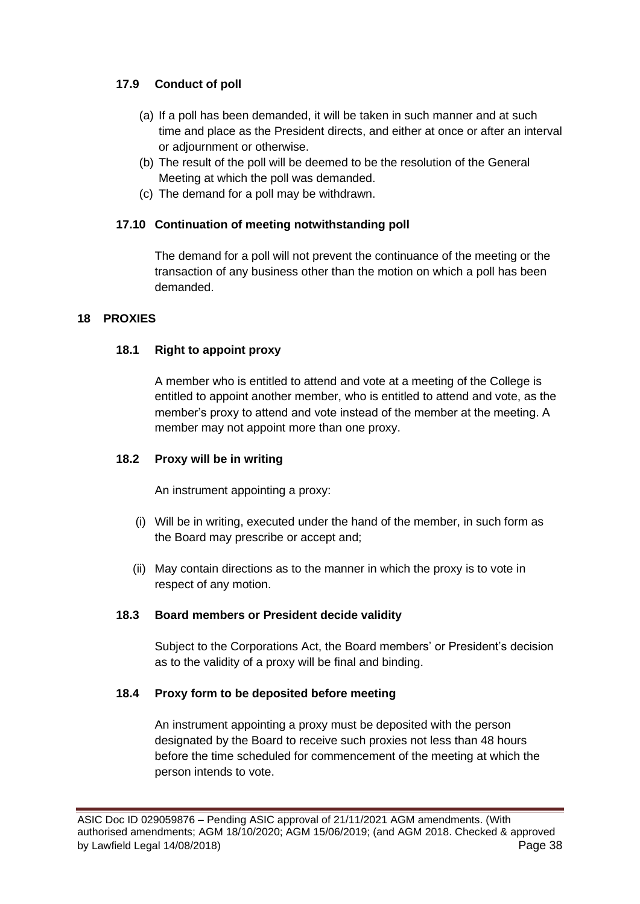## **17.9 Conduct of poll**

- (a) If a poll has been demanded, it will be taken in such manner and at such time and place as the President directs, and either at once or after an interval or adjournment or otherwise.
- (b) The result of the poll will be deemed to be the resolution of the General Meeting at which the poll was demanded.
- (c) The demand for a poll may be withdrawn.

## **17.10 Continuation of meeting notwithstanding poll**

The demand for a poll will not prevent the continuance of the meeting or the transaction of any business other than the motion on which a poll has been demanded.

## **18 PROXIES**

#### **18.1 Right to appoint proxy**

A member who is entitled to attend and vote at a meeting of the College is entitled to appoint another member, who is entitled to attend and vote, as the member's proxy to attend and vote instead of the member at the meeting. A member may not appoint more than one proxy.

#### **18.2 Proxy will be in writing**

An instrument appointing a proxy:

- (i) Will be in writing, executed under the hand of the member, in such form as the Board may prescribe or accept and;
- (ii) May contain directions as to the manner in which the proxy is to vote in respect of any motion.

## **18.3 Board members or President decide validity**

Subject to the Corporations Act, the Board members' or President's decision as to the validity of a proxy will be final and binding.

#### **18.4 Proxy form to be deposited before meeting**

An instrument appointing a proxy must be deposited with the person designated by the Board to receive such proxies not less than 48 hours before the time scheduled for commencement of the meeting at which the person intends to vote.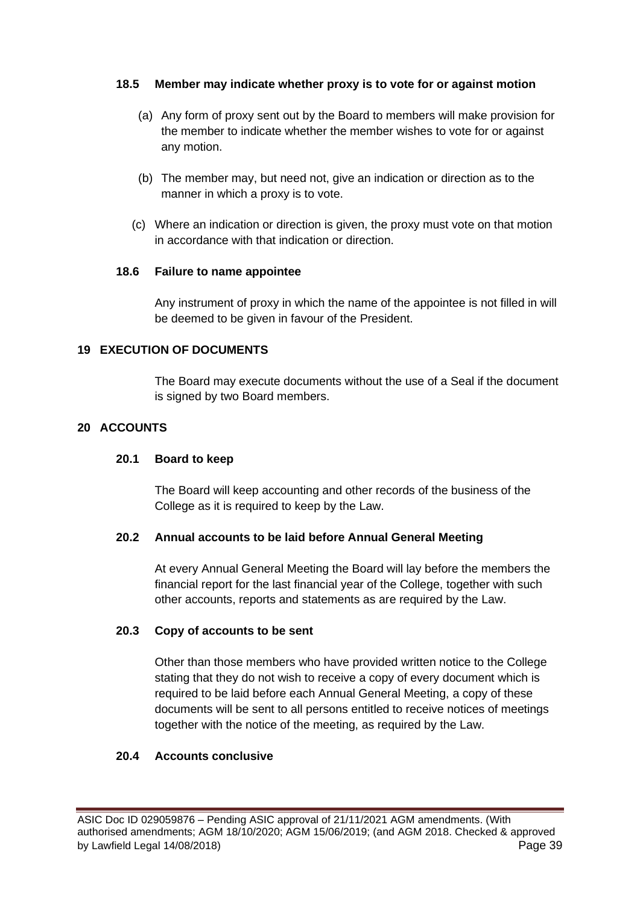#### **18.5 Member may indicate whether proxy is to vote for or against motion**

- (a) Any form of proxy sent out by the Board to members will make provision for the member to indicate whether the member wishes to vote for or against any motion.
- (b) The member may, but need not, give an indication or direction as to the manner in which a proxy is to vote.
- (c) Where an indication or direction is given, the proxy must vote on that motion in accordance with that indication or direction.

#### **18.6 Failure to name appointee**

Any instrument of proxy in which the name of the appointee is not filled in will be deemed to be given in favour of the President.

#### **19 EXECUTION OF DOCUMENTS**

The Board may execute documents without the use of a Seal if the document is signed by two Board members.

#### **20 ACCOUNTS**

#### **20.1 Board to keep**

The Board will keep accounting and other records of the business of the College as it is required to keep by the Law.

#### **20.2 Annual accounts to be laid before Annual General Meeting**

At every Annual General Meeting the Board will lay before the members the financial report for the last financial year of the College, together with such other accounts, reports and statements as are required by the Law.

#### **20.3 Copy of accounts to be sent**

Other than those members who have provided written notice to the College stating that they do not wish to receive a copy of every document which is required to be laid before each Annual General Meeting, a copy of these documents will be sent to all persons entitled to receive notices of meetings together with the notice of the meeting, as required by the Law.

#### **20.4 Accounts conclusive**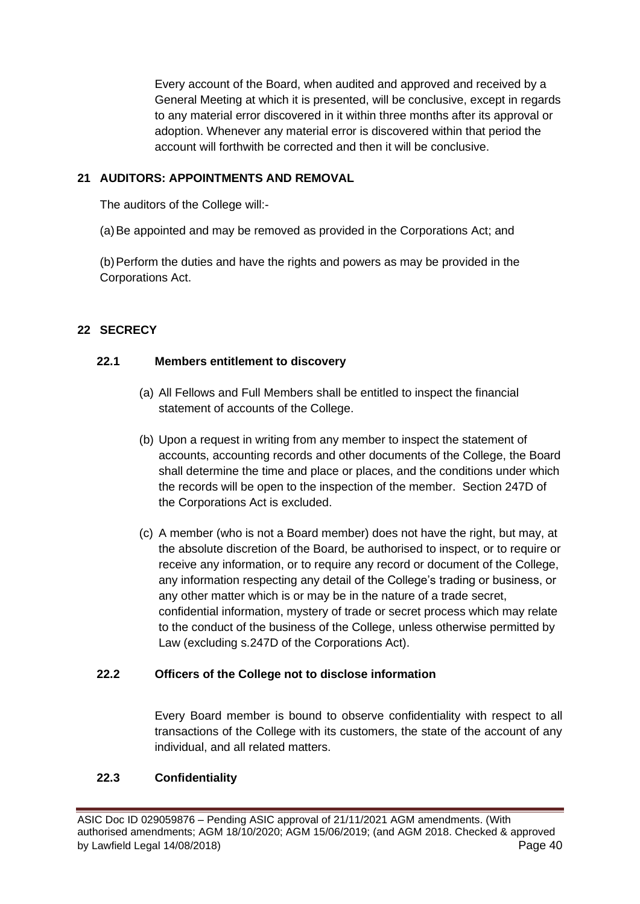Every account of the Board, when audited and approved and received by a General Meeting at which it is presented, will be conclusive, except in regards to any material error discovered in it within three months after its approval or adoption. Whenever any material error is discovered within that period the account will forthwith be corrected and then it will be conclusive.

## **21 AUDITORS: APPOINTMENTS AND REMOVAL**

The auditors of the College will:-

(a)Be appointed and may be removed as provided in the Corporations Act; and

(b)Perform the duties and have the rights and powers as may be provided in the Corporations Act.

## **22 SECRECY**

#### **22.1 Members entitlement to discovery**

- (a) All Fellows and Full Members shall be entitled to inspect the financial statement of accounts of the College.
- (b) Upon a request in writing from any member to inspect the statement of accounts, accounting records and other documents of the College, the Board shall determine the time and place or places, and the conditions under which the records will be open to the inspection of the member. Section 247D of the Corporations Act is excluded.
- (c) A member (who is not a Board member) does not have the right, but may, at the absolute discretion of the Board, be authorised to inspect, or to require or receive any information, or to require any record or document of the College, any information respecting any detail of the College's trading or business, or any other matter which is or may be in the nature of a trade secret, confidential information, mystery of trade or secret process which may relate to the conduct of the business of the College, unless otherwise permitted by Law (excluding s.247D of the Corporations Act).

#### **22.2 Officers of the College not to disclose information**

Every Board member is bound to observe confidentiality with respect to all transactions of the College with its customers, the state of the account of any individual, and all related matters.

#### **22.3 Confidentiality**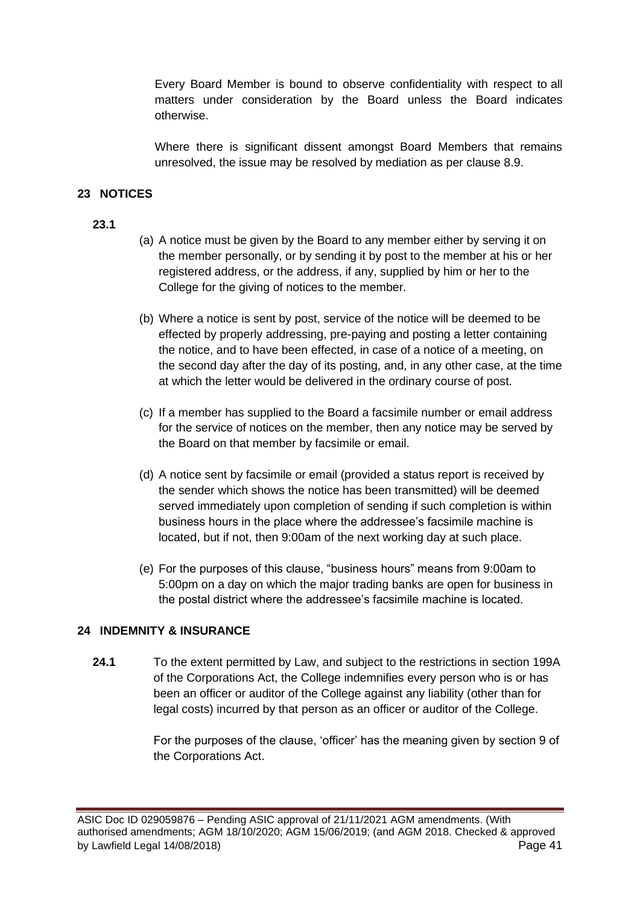Every Board Member is bound to observe confidentiality with respect to all matters under consideration by the Board unless the Board indicates otherwise.

Where there is significant dissent amongst Board Members that remains unresolved, the issue may be resolved by mediation as per clause 8.9.

## **23 NOTICES**

## **23.1**

- (a) A notice must be given by the Board to any member either by serving it on the member personally, or by sending it by post to the member at his or her registered address, or the address, if any, supplied by him or her to the College for the giving of notices to the member.
- (b) Where a notice is sent by post, service of the notice will be deemed to be effected by properly addressing, pre-paying and posting a letter containing the notice, and to have been effected, in case of a notice of a meeting, on the second day after the day of its posting, and, in any other case, at the time at which the letter would be delivered in the ordinary course of post.
- (c) If a member has supplied to the Board a facsimile number or email address for the service of notices on the member, then any notice may be served by the Board on that member by facsimile or email.
- (d) A notice sent by facsimile or email (provided a status report is received by the sender which shows the notice has been transmitted) will be deemed served immediately upon completion of sending if such completion is within business hours in the place where the addressee's facsimile machine is located, but if not, then 9:00am of the next working day at such place.
- (e) For the purposes of this clause, "business hours" means from 9:00am to 5:00pm on a day on which the major trading banks are open for business in the postal district where the addressee's facsimile machine is located.

#### **24 INDEMNITY & INSURANCE**

**24.1** To the extent permitted by Law, and subject to the restrictions in section 199A of the Corporations Act, the College indemnifies every person who is or has been an officer or auditor of the College against any liability (other than for legal costs) incurred by that person as an officer or auditor of the College.

> For the purposes of the clause, 'officer' has the meaning given by section 9 of the Corporations Act.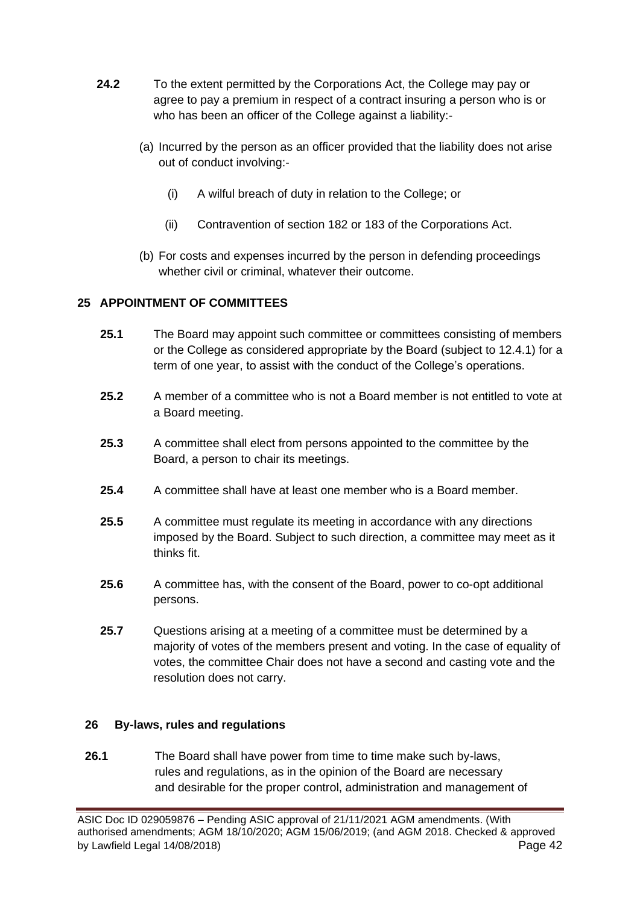- **24.2** To the extent permitted by the Corporations Act, the College may pay or agree to pay a premium in respect of a contract insuring a person who is or who has been an officer of the College against a liability:-
	- (a) Incurred by the person as an officer provided that the liability does not arise out of conduct involving:-
		- (i) A wilful breach of duty in relation to the College; or
		- (ii) Contravention of section 182 or 183 of the Corporations Act.
	- (b) For costs and expenses incurred by the person in defending proceedings whether civil or criminal, whatever their outcome.

## **25 APPOINTMENT OF COMMITTEES**

- **25.1** The Board may appoint such committee or committees consisting of members or the College as considered appropriate by the Board (subject to 12.4.1) for a term of one year, to assist with the conduct of the College's operations.
- **25.2** A member of a committee who is not a Board member is not entitled to vote at a Board meeting.
- **25.3** A committee shall elect from persons appointed to the committee by the Board, a person to chair its meetings.
- **25.4** A committee shall have at least one member who is a Board member.
- **25.5** A committee must regulate its meeting in accordance with any directions imposed by the Board. Subject to such direction, a committee may meet as it thinks fit.
- **25.6** A committee has, with the consent of the Board, power to co-opt additional persons.
- **25.7** Questions arising at a meeting of a committee must be determined by a majority of votes of the members present and voting. In the case of equality of votes, the committee Chair does not have a second and casting vote and the resolution does not carry.

#### **26 By-laws, rules and regulations**

**26.1** The Board shall have power from time to time make such by-laws, rules and regulations, as in the opinion of the Board are necessary and desirable for the proper control, administration and management of

ASIC Doc ID 029059876 – Pending ASIC approval of 21/11/2021 AGM amendments. (With authorised amendments; AGM 18/10/2020; AGM 15/06/2019; (and AGM 2018. Checked & approved by Lawfield Legal 14/08/2018) **Page 42**